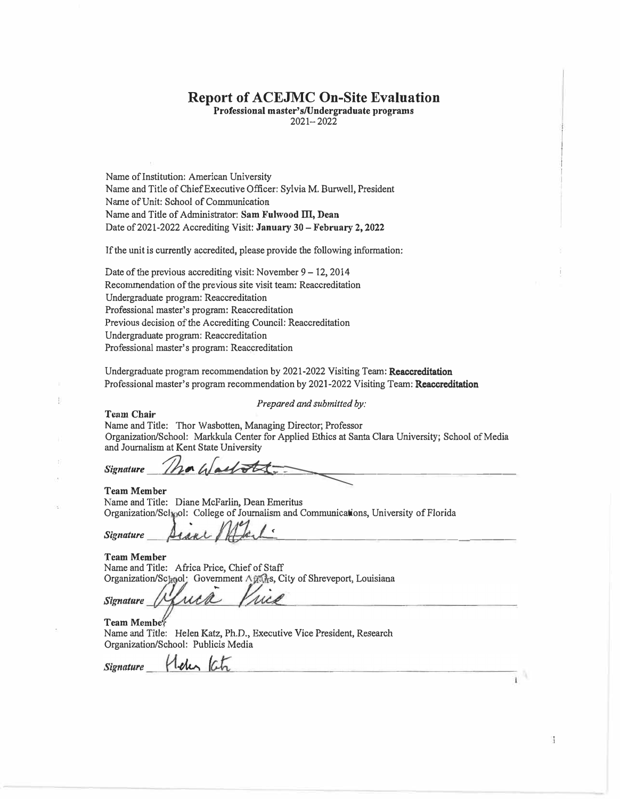### **Report of ACEJMC On-Site Evaluation**

**Professional master's/Undergraduate programs** 

 $2021 - 2022$ 

Name of Institution: American University Name and Title of Chief Executive Officer: Sylvia M. Burwell, President Name of Unit: School of Communication Name and Title of Administrator: **Sam Fulwood** ID, **Dean** Date of 2021-2022 Accrediting Visit: **January 30** - **February 2, 2022**

If the unit is currently accredited, please provide the following information:

Date of the previous accrediting visit: November  $9 - 12$ , 2014 Recommendation of the previous site visit team: Reaccreditatlon Undergraduate program: Reaccreditation Professional master's program: Reaccreditation Previous decision of the Accrediting Council: Reaccreditation Undergraduate program: Reaccreclitation Professional master's program: Reaccreditation

Undergraduate program recommendation by 2021-2022 Visiting Team: Reaccreditation Professional master's program recommendation by 2021-2022 Visiting Team: Reaccreditation

*Prepared and submitted by:* 

**Team Chair** 

Name and Title: Thor Wasbotten, Managing Director; Professor Organization/School: Markkula Center for Applied Ethics at Santa Clara University; School of Media and Journalism at Kent State University

**Signature** *h***<sub>a</sub> (***b* **add the second of a second contact of the second contact of the second contact of the second contact of the second contact of the second contact of the second contact of the second contact of the s** 

#### **Team Member**

Name and Title: Diane McFarlin, Dean Emeritus Organization/Sc] ol: College of Journalism and Communications, University of Florida

*Cignature*  $\underline{\mu_{\ell}}$ 

**TcamMember** 

Name and Title: Africa Price, Chief of Staff Organization/School: Government Afraks, City of Shreveport, Louisiana

**Signature** 

Media Vita

**TeamMcmbe·**  Name and Title: Helen Katz, Ph.D., Executive Vice President, Research Organization/School: Publicis Media

**Signature** 

 $\frac{4}{3}$ 

î.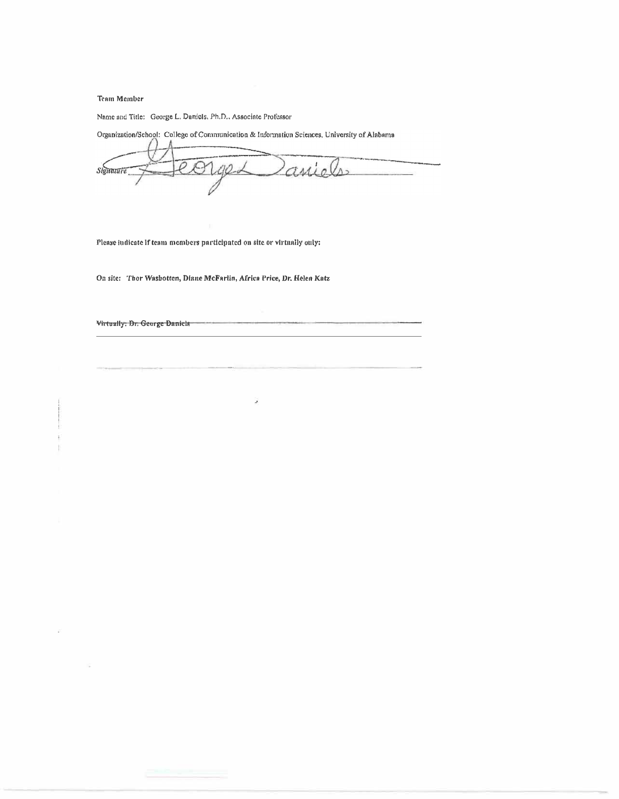**Team Member** 

Name and Title: George L. Daniels, Ph.D., Associate Professor

Organization/School: College of Communication & Information Sciences, University of Alabama Daniels 2001 **Signature** 

g

Please indicate if team members participated on site or virtnally only:

On site: Thor Washotten, Diane McFarlin, Africa Price, Dr. Helen Katz

Virtually: Dr. George Daniels

÷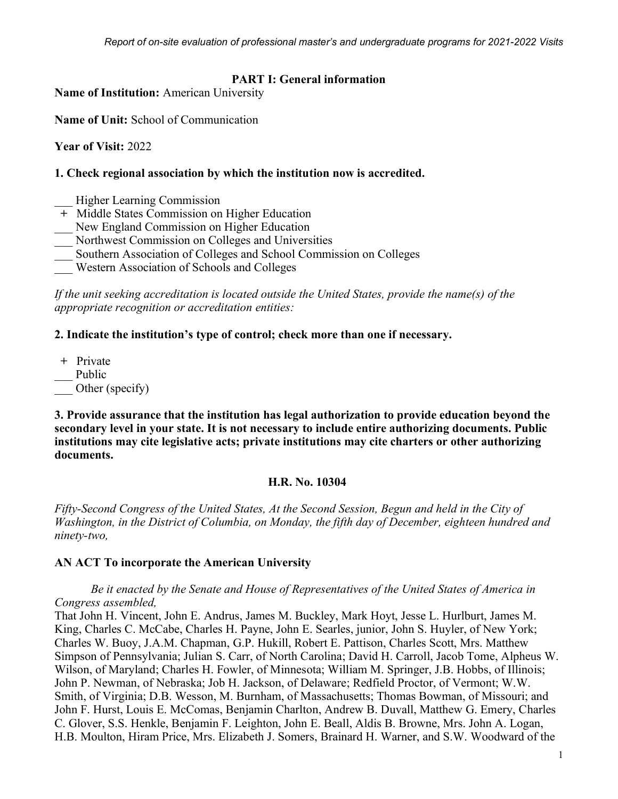#### **PART I: General information**

**Name of Institution:** American University

**Name of Unit:** School of Communication

**Year of Visit:** 2022

#### **1. Check regional association by which the institution now is accredited.**

- Higher Learning Commission
- **+** Middle States Commission on Higher Education
- New England Commission on Higher Education
- \_\_\_ Northwest Commission on Colleges and Universities
- \_\_\_ Southern Association of Colleges and School Commission on Colleges
- \_\_\_ Western Association of Schools and Colleges

*If the unit seeking accreditation is located outside the United States, provide the name(s) of the appropriate recognition or accreditation entities:*

#### **2. Indicate the institution's type of control; check more than one if necessary.**

- **+** Private
- Public
- Other (specify)

**3. Provide assurance that the institution has legal authorization to provide education beyond the secondary level in your state. It is not necessary to include entire authorizing documents. Public institutions may cite legislative acts; private institutions may cite charters or other authorizing documents.**

#### **H.R. No. 10304**

*Fifty-Second Congress of the United States, At the Second Session, Begun and held in the City of Washington, in the District of Columbia, on Monday, the fifth day of December, eighteen hundred and ninety-two,*

### **AN ACT To incorporate the American University**

#### *Be it enacted by the Senate and House of Representatives of the United States of America in Congress assembled,*

That John H. Vincent, John E. Andrus, James M. Buckley, Mark Hoyt, Jesse L. Hurlburt, James M. King, Charles C. McCabe, Charles H. Payne, John E. Searles, junior, John S. Huyler, of New York; Charles W. Buoy, J.A.M. Chapman, G.P. Hukill, Robert E. Pattison, Charles Scott, Mrs. Matthew Simpson of Pennsylvania; Julian S. Carr, of North Carolina; David H. Carroll, Jacob Tome, Alpheus W. Wilson, of Maryland; Charles H. Fowler, of Minnesota; William M. Springer, J.B. Hobbs, of Illinois; John P. Newman, of Nebraska; Job H. Jackson, of Delaware; Redfield Proctor, of Vermont; W.W. Smith, of Virginia; D.B. Wesson, M. Burnham, of Massachusetts; Thomas Bowman, of Missouri; and John F. Hurst, Louis E. McComas, Benjamin Charlton, Andrew B. Duvall, Matthew G. Emery, Charles C. Glover, S.S. Henkle, Benjamin F. Leighton, John E. Beall, Aldis B. Browne, Mrs. John A. Logan, H.B. Moulton, Hiram Price, Mrs. Elizabeth J. Somers, Brainard H. Warner, and S.W. Woodward of the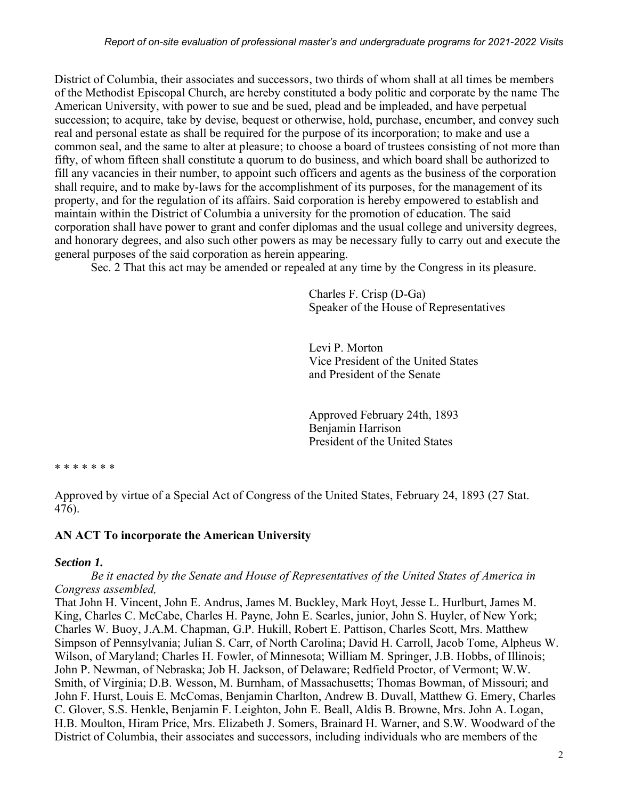District of Columbia, their associates and successors, two thirds of whom shall at all times be members of the Methodist Episcopal Church, are hereby constituted a body politic and corporate by the name The American University, with power to sue and be sued, plead and be impleaded, and have perpetual succession; to acquire, take by devise, bequest or otherwise, hold, purchase, encumber, and convey such real and personal estate as shall be required for the purpose of its incorporation; to make and use a common seal, and the same to alter at pleasure; to choose a board of trustees consisting of not more than fifty, of whom fifteen shall constitute a quorum to do business, and which board shall be authorized to fill any vacancies in their number, to appoint such officers and agents as the business of the corporation shall require, and to make by-laws for the accomplishment of its purposes, for the management of its property, and for the regulation of its affairs. Said corporation is hereby empowered to establish and maintain within the District of Columbia a university for the promotion of education. The said corporation shall have power to grant and confer diplomas and the usual college and university degrees, and honorary degrees, and also such other powers as may be necessary fully to carry out and execute the general purposes of the said corporation as herein appearing.

Sec. 2 That this act may be amended or repealed at any time by the Congress in its pleasure.

Charles F. Crisp (D-Ga) Speaker of the House of Representatives

Levi P. Morton Vice President of the United States and President of the Senate

Approved February 24th, 1893 Benjamin Harrison President of the United States

\* \* \* \* \* \* \*

Approved by virtue of a Special Act of Congress of the United States, February 24, 1893 (27 Stat. 476).

### **AN ACT To incorporate the American University**

#### *Section 1.*

#### *Be it enacted by the Senate and House of Representatives of the United States of America in Congress assembled,*

That John H. Vincent, John E. Andrus, James M. Buckley, Mark Hoyt, Jesse L. Hurlburt, James M. King, Charles C. McCabe, Charles H. Payne, John E. Searles, junior, John S. Huyler, of New York; Charles W. Buoy, J.A.M. Chapman, G.P. Hukill, Robert E. Pattison, Charles Scott, Mrs. Matthew Simpson of Pennsylvania; Julian S. Carr, of North Carolina; David H. Carroll, Jacob Tome, Alpheus W. Wilson, of Maryland; Charles H. Fowler, of Minnesota; William M. Springer, J.B. Hobbs, of Illinois; John P. Newman, of Nebraska; Job H. Jackson, of Delaware; Redfield Proctor, of Vermont; W.W. Smith, of Virginia; D.B. Wesson, M. Burnham, of Massachusetts; Thomas Bowman, of Missouri; and John F. Hurst, Louis E. McComas, Benjamin Charlton, Andrew B. Duvall, Matthew G. Emery, Charles C. Glover, S.S. Henkle, Benjamin F. Leighton, John E. Beall, Aldis B. Browne, Mrs. John A. Logan, H.B. Moulton, Hiram Price, Mrs. Elizabeth J. Somers, Brainard H. Warner, and S.W. Woodward of the District of Columbia, their associates and successors, including individuals who are members of the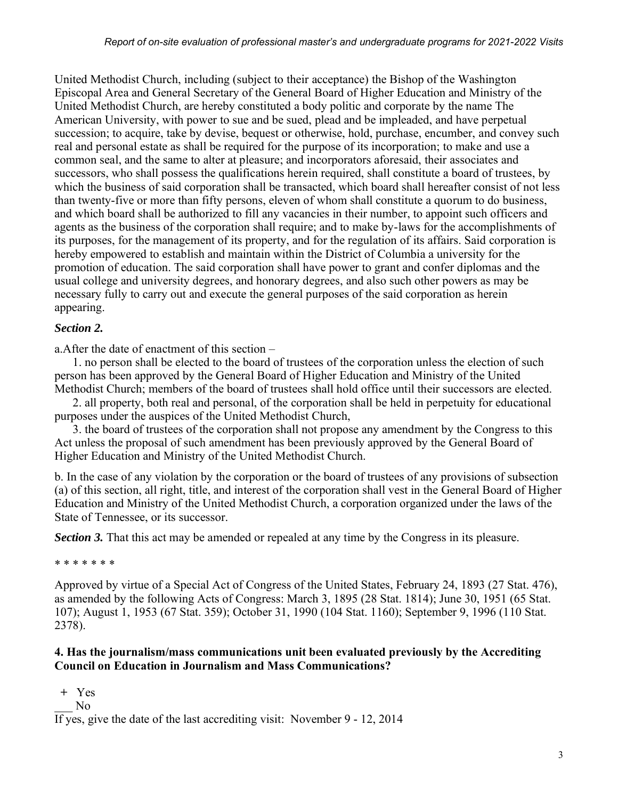United Methodist Church, including (subject to their acceptance) the Bishop of the Washington Episcopal Area and General Secretary of the General Board of Higher Education and Ministry of the United Methodist Church, are hereby constituted a body politic and corporate by the name The American University, with power to sue and be sued, plead and be impleaded, and have perpetual succession; to acquire, take by devise, bequest or otherwise, hold, purchase, encumber, and convey such real and personal estate as shall be required for the purpose of its incorporation; to make and use a common seal, and the same to alter at pleasure; and incorporators aforesaid, their associates and successors, who shall possess the qualifications herein required, shall constitute a board of trustees, by which the business of said corporation shall be transacted, which board shall hereafter consist of not less than twenty-five or more than fifty persons, eleven of whom shall constitute a quorum to do business, and which board shall be authorized to fill any vacancies in their number, to appoint such officers and agents as the business of the corporation shall require; and to make by-laws for the accomplishments of its purposes, for the management of its property, and for the regulation of its affairs. Said corporation is hereby empowered to establish and maintain within the District of Columbia a university for the promotion of education. The said corporation shall have power to grant and confer diplomas and the usual college and university degrees, and honorary degrees, and also such other powers as may be necessary fully to carry out and execute the general purposes of the said corporation as herein appearing.

### *Section 2.*

a.After the date of enactment of this section –

1. no person shall be elected to the board of trustees of the corporation unless the election of such person has been approved by the General Board of Higher Education and Ministry of the United Methodist Church; members of the board of trustees shall hold office until their successors are elected.

2. all property, both real and personal, of the corporation shall be held in perpetuity for educational purposes under the auspices of the United Methodist Church,

3. the board of trustees of the corporation shall not propose any amendment by the Congress to this Act unless the proposal of such amendment has been previously approved by the General Board of Higher Education and Ministry of the United Methodist Church.

b. In the case of any violation by the corporation or the board of trustees of any provisions of subsection (a) of this section, all right, title, and interest of the corporation shall vest in the General Board of Higher Education and Ministry of the United Methodist Church, a corporation organized under the laws of the State of Tennessee, or its successor.

*Section 3.* That this act may be amended or repealed at any time by the Congress in its pleasure.

### \* \* \* \* \* \* \*

Approved by virtue of a Special Act of Congress of the United States, February 24, 1893 (27 Stat. 476), as amended by the following Acts of Congress: March 3, 1895 (28 Stat. 1814); June 30, 1951 (65 Stat. 107); August 1, 1953 (67 Stat. 359); October 31, 1990 (104 Stat. 1160); September 9, 1996 (110 Stat. 2378).

### **4. Has the journalism/mass communications unit been evaluated previously by the Accrediting Council on Education in Journalism and Mass Communications?**

**+** Yes

 $\overline{N}$ <sup> $\overline{O}$ </sup>

If yes, give the date of the last accrediting visit: November 9 - 12, 2014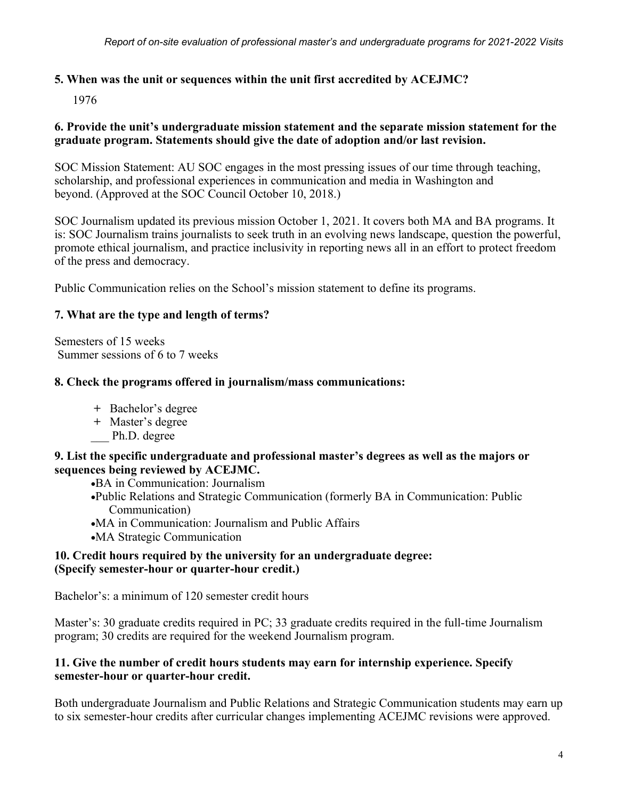### **5. When was the unit or sequences within the unit first accredited by ACEJMC?**

1976

#### **6. Provide the unit's undergraduate mission statement and the separate mission statement for the graduate program. Statements should give the date of adoption and/or last revision.**

SOC Mission Statement: AU SOC engages in the most pressing issues of our time through teaching, scholarship, and professional experiences in communication and media in Washington and beyond. (Approved at the SOC Council October 10, 2018.)

SOC Journalism updated its previous mission October 1, 2021. It covers both MA and BA programs. It is: SOC Journalism trains journalists to seek truth in an evolving news landscape, question the powerful, promote ethical journalism, and practice inclusivity in reporting news all in an effort to protect freedom of the press and democracy.

Public Communication relies on the School's mission statement to define its programs.

### **7. What are the type and length of terms?**

Semesters of 15 weeks Summer sessions of 6 to 7 weeks

### **8. Check the programs offered in journalism/mass communications:**

- **+** Bachelor's degree
- **+** Master's degree
- \_\_\_ Ph.D. degree

### **9. List the specific undergraduate and professional master's degrees as well as the majors or sequences being reviewed by ACEJMC.**

•BA in Communication: Journalism

- •Public Relations and Strategic Communication (formerly BA in Communication: Public Communication)
- •MA in Communication: Journalism and Public Affairs
- •MA Strategic Communication

#### **10. Credit hours required by the university for an undergraduate degree: (Specify semester-hour or quarter-hour credit.)**

Bachelor's: a minimum of 120 semester credit hours

Master's: 30 graduate credits required in PC; 33 graduate credits required in the full-time Journalism program; 30 credits are required for the weekend Journalism program.

### **11. Give the number of credit hours students may earn for internship experience. Specify semester-hour or quarter-hour credit.**

Both undergraduate Journalism and Public Relations and Strategic Communication students may earn up to six semester-hour credits after curricular changes implementing ACEJMC revisions were approved.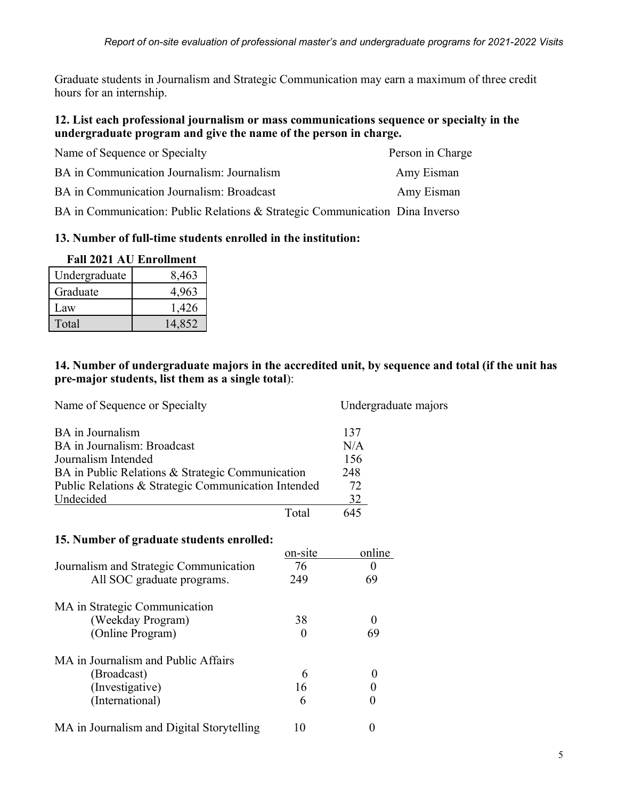Graduate students in Journalism and Strategic Communication may earn a maximum of three credit hours for an internship.

### **12. List each professional journalism or mass communications sequence or specialty in the undergraduate program and give the name of the person in charge.**

| Name of Sequence or Specialty                                                | Person in Charge |
|------------------------------------------------------------------------------|------------------|
| BA in Communication Journalism: Journalism                                   | Amy Eisman       |
| BA in Communication Journalism: Broadcast                                    | Amy Eisman       |
| BA in Communication: Public Relations & Strategic Communication Dina Inverso |                  |

### **13. Number of full-time students enrolled in the institution:**

| <b>Fall 2021 AU Enrollment</b> |        |
|--------------------------------|--------|
| Undergraduate                  | 8,463  |
| Graduate                       | 4,963  |
| Law                            | 1,426  |
| Total                          | 14,852 |

### **14. Number of undergraduate majors in the accredited unit, by sequence and total (if the unit has pre-major students, list them as a single total**):

| Name of Sequence or Specialty                       |                         | Undergraduate majors |
|-----------------------------------------------------|-------------------------|----------------------|
| <b>BA</b> in Journalism                             |                         | 137                  |
| BA in Journalism: Broadcast                         |                         | N/A                  |
| Journalism Intended                                 |                         | 156                  |
| BA in Public Relations & Strategic Communication    |                         | 248                  |
| Public Relations & Strategic Communication Intended |                         | 72                   |
| Undecided                                           |                         | 32                   |
|                                                     | Total                   | 645                  |
| 15. Number of graduate students enrolled:           |                         | online               |
|                                                     | $\alpha$ n $\alpha$ 1te |                      |

|                                           | on-site | online |
|-------------------------------------------|---------|--------|
| Journalism and Strategic Communication    | 76      |        |
| All SOC graduate programs.                | 249     | 69     |
| MA in Strategic Communication             |         |        |
| (Weekday Program)                         | 38      |        |
| (Online Program)                          |         | 69     |
| MA in Journalism and Public Affairs       |         |        |
| (Broadcast)                               | 6       |        |
| (Investigative)                           | 16      |        |
| (International)                           | 6       |        |
| MA in Journalism and Digital Storytelling |         |        |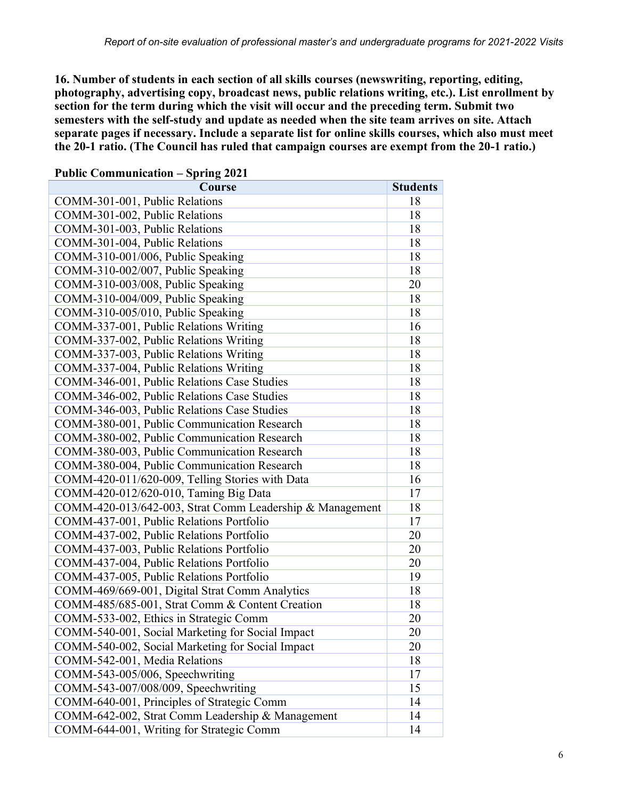**16. Number of students in each section of all skills courses (newswriting, reporting, editing, photography, advertising copy, broadcast news, public relations writing, etc.). List enrollment by section for the term during which the visit will occur and the preceding term. Submit two semesters with the self-study and update as needed when the site team arrives on site. Attach separate pages if necessary. Include a separate list for online skills courses, which also must meet the 20-1 ratio. (The Council has ruled that campaign courses are exempt from the 20-1 ratio.)**

| Course                                                   | <b>Students</b> |
|----------------------------------------------------------|-----------------|
| COMM-301-001, Public Relations                           | 18              |
| COMM-301-002, Public Relations                           | 18              |
| COMM-301-003, Public Relations                           | 18              |
| COMM-301-004, Public Relations                           | 18              |
| COMM-310-001/006, Public Speaking                        | 18              |
| COMM-310-002/007, Public Speaking                        | 18              |
| COMM-310-003/008, Public Speaking                        | 20              |
| COMM-310-004/009, Public Speaking                        | 18              |
| COMM-310-005/010, Public Speaking                        | 18              |
| COMM-337-001, Public Relations Writing                   | 16              |
| COMM-337-002, Public Relations Writing                   | 18              |
| COMM-337-003, Public Relations Writing                   | 18              |
| COMM-337-004, Public Relations Writing                   | 18              |
| COMM-346-001, Public Relations Case Studies              | 18              |
| COMM-346-002, Public Relations Case Studies              | 18              |
| COMM-346-003, Public Relations Case Studies              | 18              |
| COMM-380-001, Public Communication Research              | 18              |
| COMM-380-002, Public Communication Research              | 18              |
| COMM-380-003, Public Communication Research              | 18              |
| COMM-380-004, Public Communication Research              | 18              |
| COMM-420-011/620-009, Telling Stories with Data          | 16              |
| COMM-420-012/620-010, Taming Big Data                    | 17              |
| COMM-420-013/642-003, Strat Comm Leadership & Management | 18              |
| COMM-437-001, Public Relations Portfolio                 | 17              |
| COMM-437-002, Public Relations Portfolio                 | 20              |
| COMM-437-003, Public Relations Portfolio                 | 20              |
| COMM-437-004, Public Relations Portfolio                 | 20              |
| COMM-437-005, Public Relations Portfolio                 | 19              |
| COMM-469/669-001, Digital Strat Comm Analytics           | 18              |
| COMM-485/685-001, Strat Comm & Content Creation          | 18              |
| COMM-533-002, Ethics in Strategic Comm                   | 20              |
| COMM-540-001, Social Marketing for Social Impact         | 20              |
| COMM-540-002, Social Marketing for Social Impact         | 20              |
| COMM-542-001, Media Relations                            | 18              |
| COMM-543-005/006, Speechwriting                          | 17              |
| COMM-543-007/008/009, Speechwriting                      | 15              |
| COMM-640-001, Principles of Strategic Comm               | 14              |
| COMM-642-002, Strat Comm Leadership & Management         | 14              |
| COMM-644-001, Writing for Strategic Comm                 | 14              |

#### **Public Communication – Spring 2021**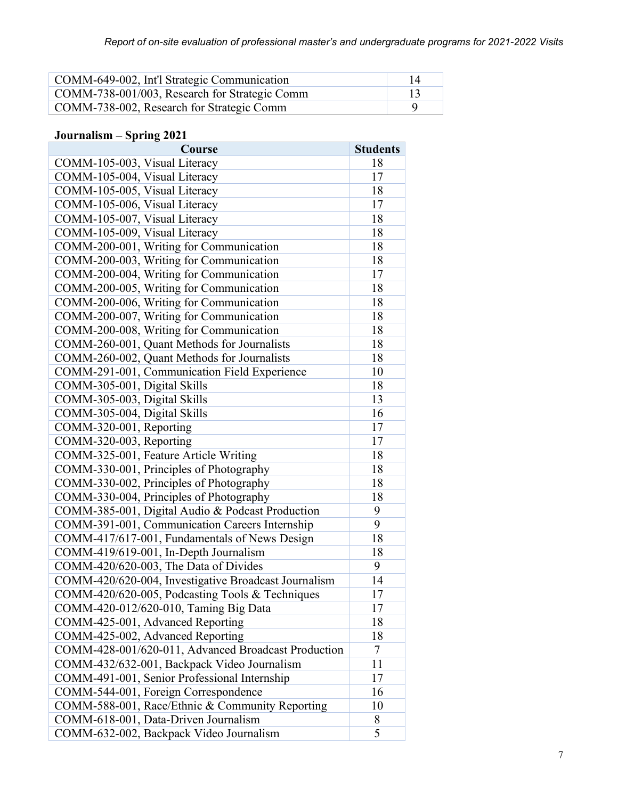| COMM-649-002, Int'l Strategic Communication   | 14 |
|-----------------------------------------------|----|
| COMM-738-001/003, Research for Strategic Comm |    |
| COMM-738-002, Research for Strategic Comm     |    |

# **Journalism – Spring 2021**

| Course                                               | <b>Students</b> |
|------------------------------------------------------|-----------------|
| COMM-105-003, Visual Literacy                        | 18              |
| COMM-105-004, Visual Literacy                        | 17              |
| COMM-105-005, Visual Literacy                        | 18              |
| COMM-105-006, Visual Literacy                        | 17              |
| COMM-105-007, Visual Literacy                        | 18              |
| COMM-105-009, Visual Literacy                        | 18              |
| COMM-200-001, Writing for Communication              | 18              |
| COMM-200-003, Writing for Communication              | 18              |
| COMM-200-004, Writing for Communication              | 17              |
| COMM-200-005, Writing for Communication              | 18              |
| COMM-200-006, Writing for Communication              | 18              |
| COMM-200-007, Writing for Communication              | 18              |
| COMM-200-008, Writing for Communication              | 18              |
| COMM-260-001, Quant Methods for Journalists          | 18              |
| COMM-260-002, Quant Methods for Journalists          | 18              |
| COMM-291-001, Communication Field Experience         | 10              |
| COMM-305-001, Digital Skills                         | 18              |
| COMM-305-003, Digital Skills                         | 13              |
| COMM-305-004, Digital Skills                         | 16              |
| COMM-320-001, Reporting                              | 17              |
| COMM-320-003, Reporting                              | 17              |
| COMM-325-001, Feature Article Writing                | 18              |
| COMM-330-001, Principles of Photography              | 18              |
| COMM-330-002, Principles of Photography              | 18              |
| COMM-330-004, Principles of Photography              | 18              |
| COMM-385-001, Digital Audio & Podcast Production     | 9               |
| COMM-391-001, Communication Careers Internship       | 9               |
| COMM-417/617-001, Fundamentals of News Design        | 18              |
| COMM-419/619-001, In-Depth Journalism                | 18              |
| COMM-420/620-003, The Data of Divides                | 9               |
| COMM-420/620-004, Investigative Broadcast Journalism | 14              |
| COMM-420/620-005, Podcasting Tools & Techniques      | 17              |
| COMM-420-012/620-010, Taming Big Data                | 17              |
| COMM-425-001, Advanced Reporting                     | 18              |
| COMM-425-002, Advanced Reporting                     | 18              |
| COMM-428-001/620-011, Advanced Broadcast Production  | 7               |
| COMM-432/632-001, Backpack Video Journalism          | 11              |
| COMM-491-001, Senior Professional Internship         | 17              |
| COMM-544-001, Foreign Correspondence                 | 16              |
| COMM-588-001, Race/Ethnic & Community Reporting      | 10              |
| COMM-618-001, Data-Driven Journalism                 | 8               |
| COMM-632-002, Backpack Video Journalism              | 5               |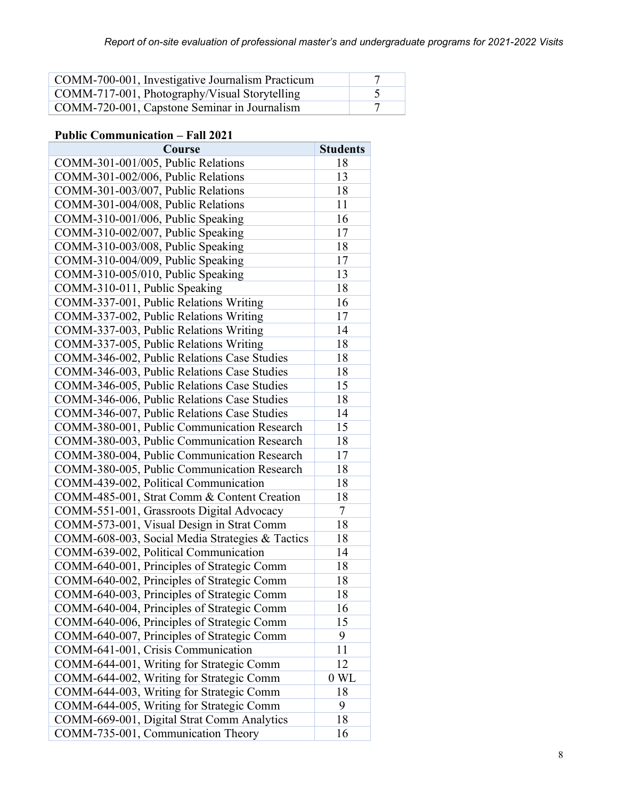| COMM-700-001, Investigative Journalism Practicum |  |
|--------------------------------------------------|--|
| COMM-717-001, Photography/Visual Storytelling    |  |
| COMM-720-001, Capstone Seminar in Journalism     |  |

### **Public Communication – Fall 2021**

| Course                                          | <b>Students</b> |
|-------------------------------------------------|-----------------|
| COMM-301-001/005, Public Relations              | 18              |
| COMM-301-002/006, Public Relations              | 13              |
| COMM-301-003/007, Public Relations              | 18              |
| COMM-301-004/008, Public Relations              | 11              |
| COMM-310-001/006, Public Speaking               | 16              |
| COMM-310-002/007, Public Speaking               | 17              |
| COMM-310-003/008, Public Speaking               | 18              |
| COMM-310-004/009, Public Speaking               | 17              |
| COMM-310-005/010, Public Speaking               | 13              |
| COMM-310-011, Public Speaking                   | 18              |
| COMM-337-001, Public Relations Writing          | 16              |
| COMM-337-002, Public Relations Writing          | 17              |
| COMM-337-003, Public Relations Writing          | 14              |
| COMM-337-005, Public Relations Writing          | 18              |
| COMM-346-002, Public Relations Case Studies     | 18              |
| COMM-346-003, Public Relations Case Studies     | 18              |
| COMM-346-005, Public Relations Case Studies     | 15              |
| COMM-346-006, Public Relations Case Studies     | 18              |
| COMM-346-007, Public Relations Case Studies     | 14              |
| COMM-380-001, Public Communication Research     | 15              |
| COMM-380-003, Public Communication Research     | 18              |
| COMM-380-004, Public Communication Research     | 17              |
| COMM-380-005, Public Communication Research     | 18              |
| COMM-439-002, Political Communication           | 18              |
| COMM-485-001, Strat Comm & Content Creation     | 18              |
| COMM-551-001, Grassroots Digital Advocacy       | 7               |
| COMM-573-001, Visual Design in Strat Comm       | 18              |
| COMM-608-003, Social Media Strategies & Tactics | 18              |
| COMM-639-002, Political Communication           | 14              |
| COMM-640-001, Principles of Strategic Comm      | 18              |
| COMM-640-002, Principles of Strategic Comm      | 18              |
| COMM-640-003, Principles of Strategic Comm      | 18              |
| COMM-640-004, Principles of Strategic Comm      | 16              |
| COMM-640-006, Principles of Strategic Comm      | 15              |
| COMM-640-007, Principles of Strategic Comm      | 9               |
| COMM-641-001, Crisis Communication              | 11              |
| COMM-644-001, Writing for Strategic Comm        | 12              |
| COMM-644-002, Writing for Strategic Comm        | 0 WL            |
| COMM-644-003, Writing for Strategic Comm        | 18              |
| COMM-644-005, Writing for Strategic Comm        | 9               |
| COMM-669-001, Digital Strat Comm Analytics      | 18              |
| COMM-735-001, Communication Theory              | 16              |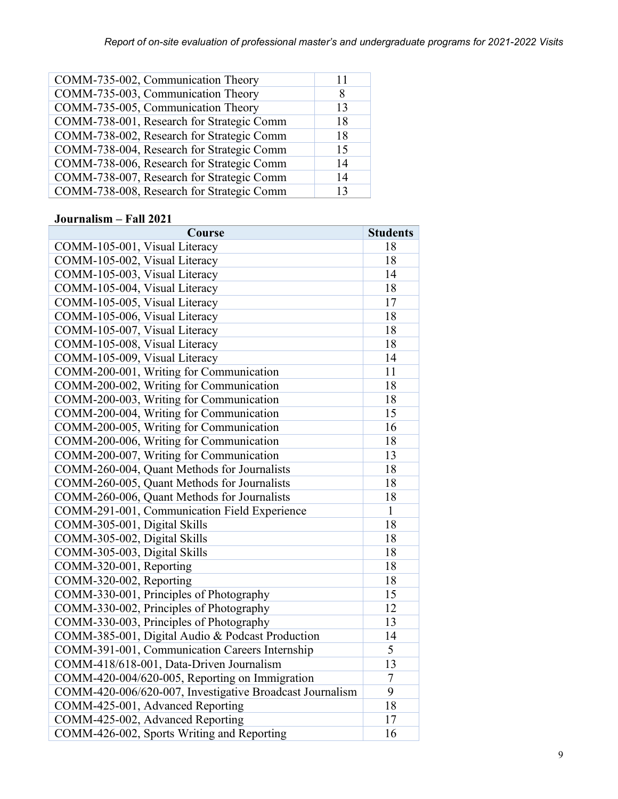| COMM-735-002, Communication Theory        | 11 |
|-------------------------------------------|----|
| COMM-735-003, Communication Theory        | 8  |
| COMM-735-005, Communication Theory        | 13 |
| COMM-738-001, Research for Strategic Comm | 18 |
| COMM-738-002, Research for Strategic Comm | 18 |
| COMM-738-004, Research for Strategic Comm | 15 |
| COMM-738-006, Research for Strategic Comm | 14 |
| COMM-738-007, Research for Strategic Comm | 14 |
| COMM-738-008, Research for Strategic Comm | 13 |
|                                           |    |

### **Journalism – Fall 2021**

| Course                                                   | <b>Students</b> |
|----------------------------------------------------------|-----------------|
| COMM-105-001, Visual Literacy                            | 18              |
| COMM-105-002, Visual Literacy                            | 18              |
| COMM-105-003, Visual Literacy                            | 14              |
| COMM-105-004, Visual Literacy                            | 18              |
| COMM-105-005, Visual Literacy                            | 17              |
| COMM-105-006, Visual Literacy                            | 18              |
| COMM-105-007, Visual Literacy                            | 18              |
| COMM-105-008, Visual Literacy                            | 18              |
| COMM-105-009, Visual Literacy                            | 14              |
| COMM-200-001, Writing for Communication                  | 11              |
| COMM-200-002, Writing for Communication                  | 18              |
| COMM-200-003, Writing for Communication                  | 18              |
| COMM-200-004, Writing for Communication                  | 15              |
| COMM-200-005, Writing for Communication                  | 16              |
| COMM-200-006, Writing for Communication                  | 18              |
| COMM-200-007, Writing for Communication                  | 13              |
| COMM-260-004, Quant Methods for Journalists              | 18              |
| COMM-260-005, Quant Methods for Journalists              | 18              |
| COMM-260-006, Quant Methods for Journalists              | 18              |
| COMM-291-001, Communication Field Experience             | $\mathbf{1}$    |
| COMM-305-001, Digital Skills                             | 18              |
| COMM-305-002, Digital Skills                             | 18              |
| COMM-305-003, Digital Skills                             | 18              |
| COMM-320-001, Reporting                                  | 18              |
| COMM-320-002, Reporting                                  | 18              |
| COMM-330-001, Principles of Photography                  | 15              |
| COMM-330-002, Principles of Photography                  | 12              |
| COMM-330-003, Principles of Photography                  | 13              |
| COMM-385-001, Digital Audio & Podcast Production         | 14              |
| COMM-391-001, Communication Careers Internship           | $\overline{5}$  |
| COMM-418/618-001, Data-Driven Journalism                 | 13              |
| COMM-420-004/620-005, Reporting on Immigration           | $\overline{7}$  |
| COMM-420-006/620-007, Investigative Broadcast Journalism | $\overline{9}$  |
| COMM-425-001, Advanced Reporting                         | 18              |
| COMM-425-002, Advanced Reporting                         | 17              |
| COMM-426-002, Sports Writing and Reporting               | 16              |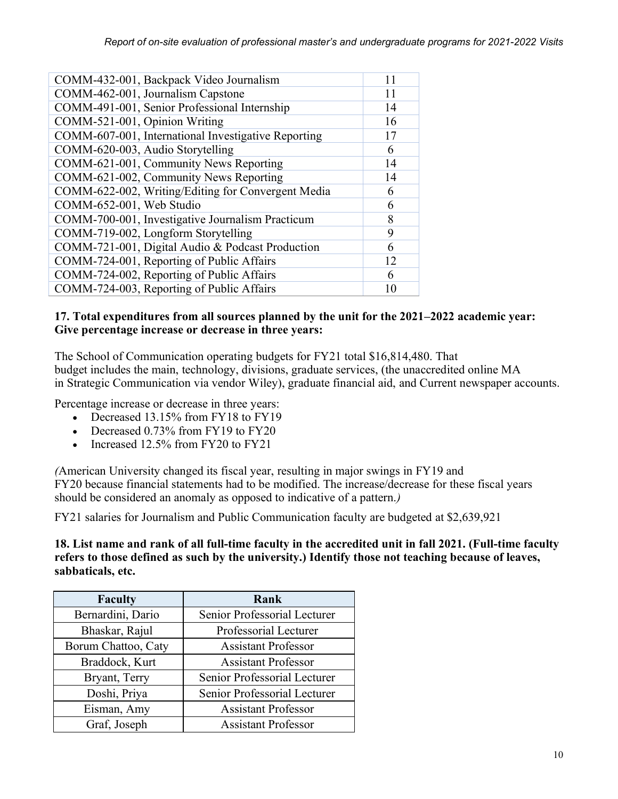| COMM-432-001, Backpack Video Journalism             | 11 |
|-----------------------------------------------------|----|
| COMM-462-001, Journalism Capstone                   | 11 |
| COMM-491-001, Senior Professional Internship        | 14 |
| COMM-521-001, Opinion Writing                       | 16 |
| COMM-607-001, International Investigative Reporting | 17 |
| COMM-620-003, Audio Storytelling                    | 6  |
| COMM-621-001, Community News Reporting              | 14 |
| COMM-621-002, Community News Reporting              | 14 |
| COMM-622-002, Writing/Editing for Convergent Media  | 6  |
| COMM-652-001, Web Studio                            | 6  |
| COMM-700-001, Investigative Journalism Practicum    | 8  |
| COMM-719-002, Longform Storytelling                 | 9  |
| COMM-721-001, Digital Audio & Podcast Production    | 6  |
| COMM-724-001, Reporting of Public Affairs           | 12 |
| COMM-724-002, Reporting of Public Affairs           | 6  |
| COMM-724-003, Reporting of Public Affairs           | 10 |

### **17. Total expenditures from all sources planned by the unit for the 2021–2022 academic year: Give percentage increase or decrease in three years:**

The School of Communication operating budgets for FY21 total \$16,814,480. That budget includes the main, technology, divisions, graduate services, (the unaccredited online MA in Strategic Communication via vendor Wiley), graduate financial aid, and Current newspaper accounts.

Percentage increase or decrease in three years:

- Decreased 13.15% from FY18 to FY19
- Decreased 0.73% from FY19 to FY20
- Increased 12.5% from FY20 to FY21

*(*American University changed its fiscal year, resulting in major swings in FY19 and FY20 because financial statements had to be modified. The increase/decrease for these fiscal years should be considered an anomaly as opposed to indicative of a pattern.*)*

FY21 salaries for Journalism and Public Communication faculty are budgeted at \$2,639,921

**18. List name and rank of all full-time faculty in the accredited unit in fall 2021. (Full-time faculty refers to those defined as such by the university.) Identify those not teaching because of leaves, sabbaticals, etc.**

| <b>Faculty</b>      | Rank                         |
|---------------------|------------------------------|
| Bernardini, Dario   | Senior Professorial Lecturer |
| Bhaskar, Rajul      | Professorial Lecturer        |
| Borum Chattoo, Caty | <b>Assistant Professor</b>   |
| Braddock, Kurt      | <b>Assistant Professor</b>   |
| Bryant, Terry       | Senior Professorial Lecturer |
| Doshi, Priya        | Senior Professorial Lecturer |
| Eisman, Amy         | <b>Assistant Professor</b>   |
| Graf, Joseph        | <b>Assistant Professor</b>   |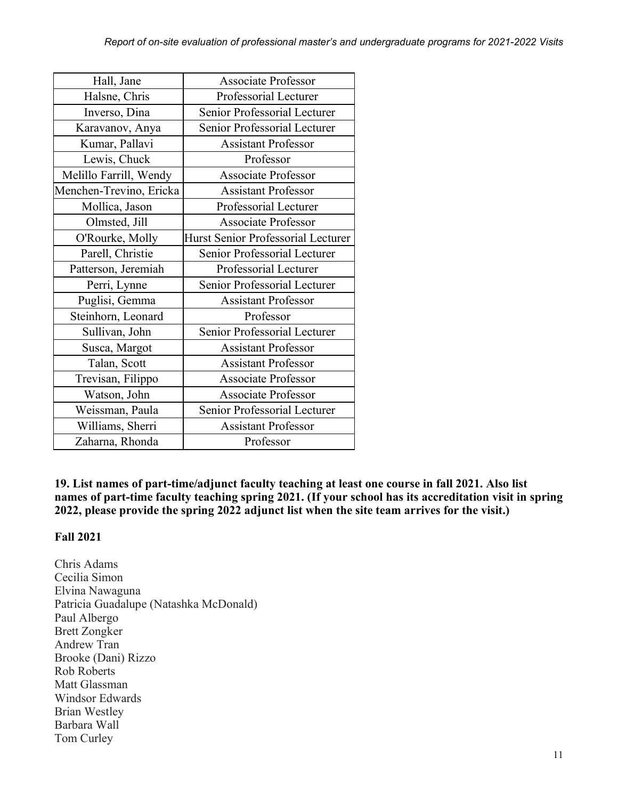| Hall, Jane              | <b>Associate Professor</b>         |
|-------------------------|------------------------------------|
| Halsne, Chris           | Professorial Lecturer              |
| Inverso, Dina           | Senior Professorial Lecturer       |
| Karavanov, Anya         | Senior Professorial Lecturer       |
| Kumar, Pallavi          | <b>Assistant Professor</b>         |
| Lewis, Chuck            | Professor                          |
| Melillo Farrill, Wendy  | <b>Associate Professor</b>         |
| Menchen-Trevino, Ericka | <b>Assistant Professor</b>         |
| Mollica, Jason          | Professorial Lecturer              |
| Olmsted, Jill           | <b>Associate Professor</b>         |
| O'Rourke, Molly         | Hurst Senior Professorial Lecturer |
| Parell, Christie        | Senior Professorial Lecturer       |
| Patterson, Jeremiah     | Professorial Lecturer              |
| Perri, Lynne            | Senior Professorial Lecturer       |
| Puglisi, Gemma          | <b>Assistant Professor</b>         |
| Steinhorn, Leonard      | Professor                          |
| Sullivan, John          | Senior Professorial Lecturer       |
| Susca, Margot           | <b>Assistant Professor</b>         |
| Talan, Scott            | <b>Assistant Professor</b>         |
| Trevisan, Filippo       | <b>Associate Professor</b>         |
| Watson, John            | <b>Associate Professor</b>         |
| Weissman, Paula         | Senior Professorial Lecturer       |
| Williams, Sherri        | <b>Assistant Professor</b>         |
| Zaharna, Rhonda         | Professor                          |

**19. List names of part-time/adjunct faculty teaching at least one course in fall 2021. Also list names of part-time faculty teaching spring 2021. (If your school has its accreditation visit in spring 2022, please provide the spring 2022 adjunct list when the site team arrives for the visit.)**

### **Fall 2021**

Chris Adams Cecilia Simon Elvina Nawaguna Patricia Guadalupe (Natashka McDonald) Paul Albergo Brett Zongker Andrew Tran Brooke (Dani) Rizzo Rob Roberts Matt Glassman Windsor Edwards Brian Westley Barbara Wall Tom Curley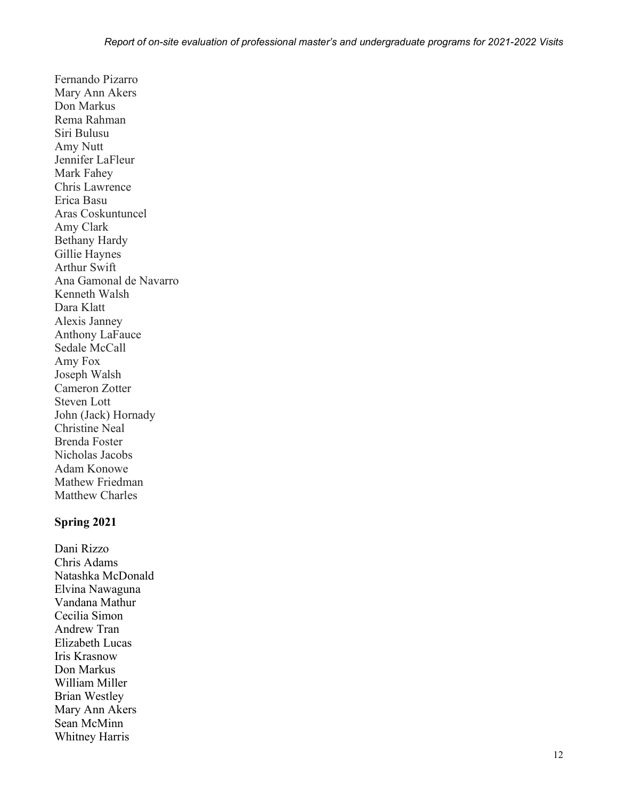Fernando Pizarro Mary Ann Akers Don Markus Rema Rahman Siri Bulusu Amy Nutt Jennifer LaFleur Mark Fahey Chris Lawrence Erica Basu Aras Coskuntuncel Amy Clark Bethany Hardy Gillie Haynes Arthur Swift Ana Gamonal de Navarro Kenneth Walsh Dara Klatt Alexis Janney Anthony LaFauce Sedale McCall Amy Fox Joseph Walsh Cameron Zotter Steven Lott John (Jack) Hornady Christine Neal Brenda Foster Nicholas Jacobs Adam Konowe Mathew Friedman Matthew Charles

#### **Spring 2021**

Dani Rizzo Chris Adams Natashka McDonald Elvina Nawaguna Vandana Mathur Cecilia Simon Andrew Tran Elizabeth Lucas Iris Krasnow Don Markus William Miller Brian Westley Mary Ann Akers Sean McMinn Whitney Harris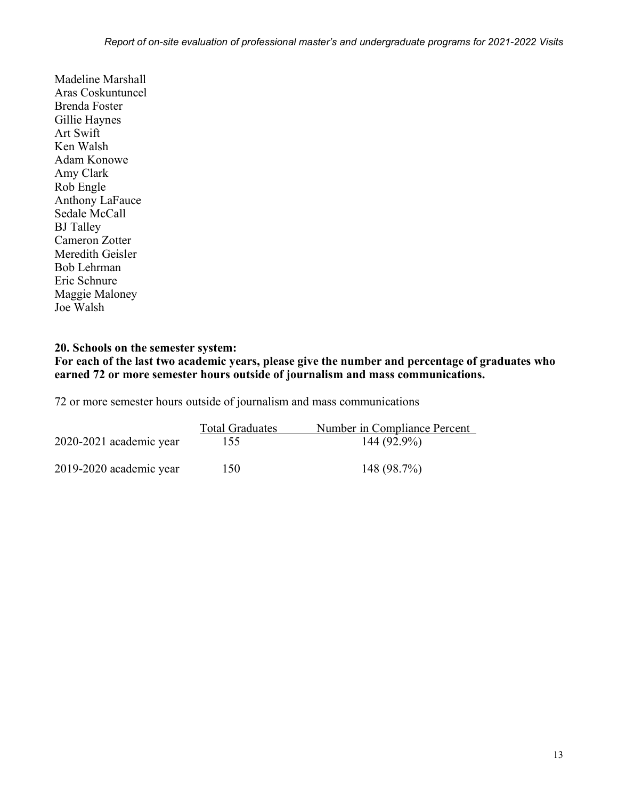Madeline Marshall Aras Coskuntuncel Brenda Foster Gillie Haynes Art Swift Ken Walsh Adam Konowe Amy Clark Rob Engle Anthony LaFauce Sedale McCall BJ Talley Cameron Zotter Meredith Geisler Bob Lehrman Eric Schnure Maggie Maloney Joe Walsh

#### **20. Schools on the semester system:**

**For each of the last two academic years, please give the number and percentage of graduates who earned 72 or more semester hours outside of journalism and mass communications.**

72 or more semester hours outside of journalism and mass communications

|                         | <b>Total Graduates</b> | Number in Compliance Percent |
|-------------------------|------------------------|------------------------------|
| 2020-2021 academic year | 155                    | 144 (92.9%)                  |
| 2019-2020 academic year | 150                    | 148(98.7%)                   |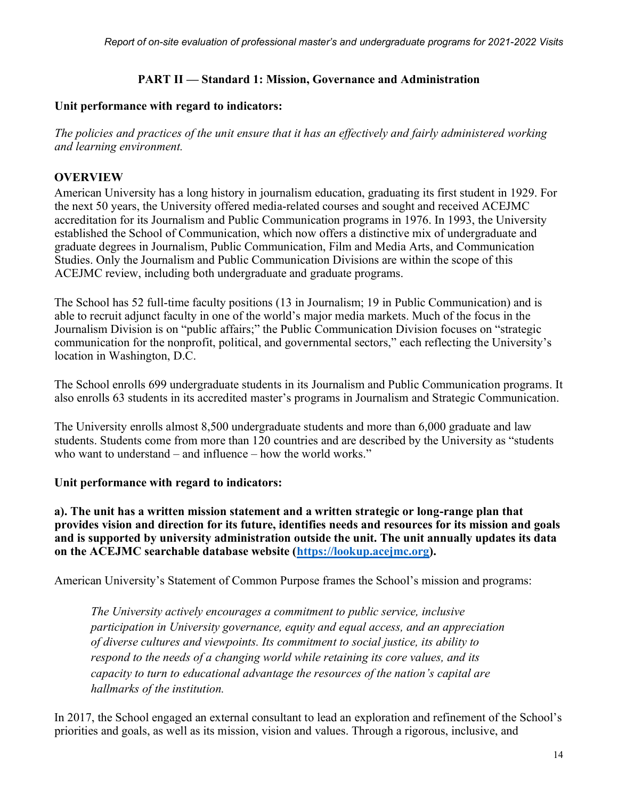### **PART II — Standard 1: Mission, Governance and Administration**

#### **Unit performance with regard to indicators:**

*The policies and practices of the unit ensure that it has an effectively and fairly administered working and learning environment.*

### **OVERVIEW**

American University has a long history in journalism education, graduating its first student in 1929. For the next 50 years, the University offered media-related courses and sought and received ACEJMC accreditation for its Journalism and Public Communication programs in 1976. In 1993, the University established the School of Communication, which now offers a distinctive mix of undergraduate and graduate degrees in Journalism, Public Communication, Film and Media Arts, and Communication Studies. Only the Journalism and Public Communication Divisions are within the scope of this ACEJMC review, including both undergraduate and graduate programs.

The School has 52 full-time faculty positions (13 in Journalism; 19 in Public Communication) and is able to recruit adjunct faculty in one of the world's major media markets. Much of the focus in the Journalism Division is on "public affairs;" the Public Communication Division focuses on "strategic communication for the nonprofit, political, and governmental sectors," each reflecting the University's location in Washington, D.C.

The School enrolls 699 undergraduate students in its Journalism and Public Communication programs. It also enrolls 63 students in its accredited master's programs in Journalism and Strategic Communication.

The University enrolls almost 8,500 undergraduate students and more than 6,000 graduate and law students. Students come from more than 120 countries and are described by the University as "students who want to understand – and influence – how the world works."

### **Unit performance with regard to indicators:**

**a). The unit has a written mission statement and a written strategic or long-range plan that provides vision and direction for its future, identifies needs and resources for its mission and goals and is supported by university administration outside the unit. The unit annually updates its data on the ACEJMC searchable database website [\(https://lookup.acejmc.org\)](https://lookup.acejmc.org/).**

American University's Statement of Common Purpose frames the School's mission and programs:

*The University actively encourages a commitment to public service, inclusive participation in University governance, equity and equal access, and an appreciation of diverse cultures and viewpoints. Its commitment to social justice, its ability to respond to the needs of a changing world while retaining its core values, and its capacity to turn to educational advantage the resources of the nation's capital are hallmarks of the institution.*

In 2017, the School engaged an external consultant to lead an exploration and refinement of the School's priorities and goals, as well as its mission, vision and values. Through a rigorous, inclusive, and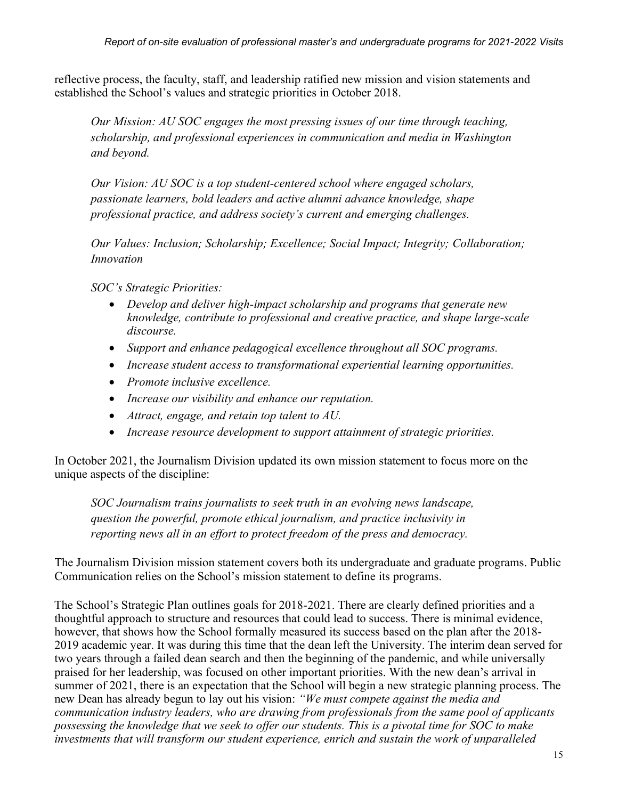reflective process, the faculty, staff, and leadership ratified new mission and vision statements and established the School's values and strategic priorities in October 2018.

*Our Mission: AU SOC engages the most pressing issues of our time through teaching, scholarship, and professional experiences in communication and media in Washington and beyond.*

 *Our Vision: AU SOC is a top student-centered school where engaged scholars, passionate learners, bold leaders and active alumni advance knowledge, shape professional practice, and address society's current and emerging challenges.*

*Our Values: Inclusion; Scholarship; Excellence; Social Impact; Integrity; Collaboration; Innovation*

*SOC's Strategic Priorities:*

- *Develop and deliver high-impact scholarship and programs that generate new knowledge, contribute to professional and creative practice, and shape large-scale discourse.*
- *Support and enhance pedagogical excellence throughout all SOC programs.*
- *Increase student access to transformational experiential learning opportunities.*
- *Promote inclusive excellence.*
- *Increase our visibility and enhance our reputation.*
- *Attract, engage, and retain top talent to AU.*
- *Increase resource development to support attainment of strategic priorities.*

In October 2021, the Journalism Division updated its own mission statement to focus more on the unique aspects of the discipline:

*SOC Journalism trains journalists to seek truth in an evolving news landscape, question the powerful, promote ethical journalism, and practice inclusivity in reporting news all in an effort to protect freedom of the press and democracy.*

The Journalism Division mission statement covers both its undergraduate and graduate programs. Public Communication relies on the School's mission statement to define its programs.

The School's Strategic Plan outlines goals for 2018-2021. There are clearly defined priorities and a thoughtful approach to structure and resources that could lead to success. There is minimal evidence, however, that shows how the School formally measured its success based on the plan after the 2018- 2019 academic year. It was during this time that the dean left the University. The interim dean served for two years through a failed dean search and then the beginning of the pandemic, and while universally praised for her leadership, was focused on other important priorities. With the new dean's arrival in summer of 2021, there is an expectation that the School will begin a new strategic planning process. The new Dean has already begun to lay out his vision: *"We must compete against the media and communication industry leaders, who are drawing from professionals from the same pool of applicants possessing the knowledge that we seek to offer our students. This is a pivotal time for SOC to make investments that will transform our student experience, enrich and sustain the work of unparalleled*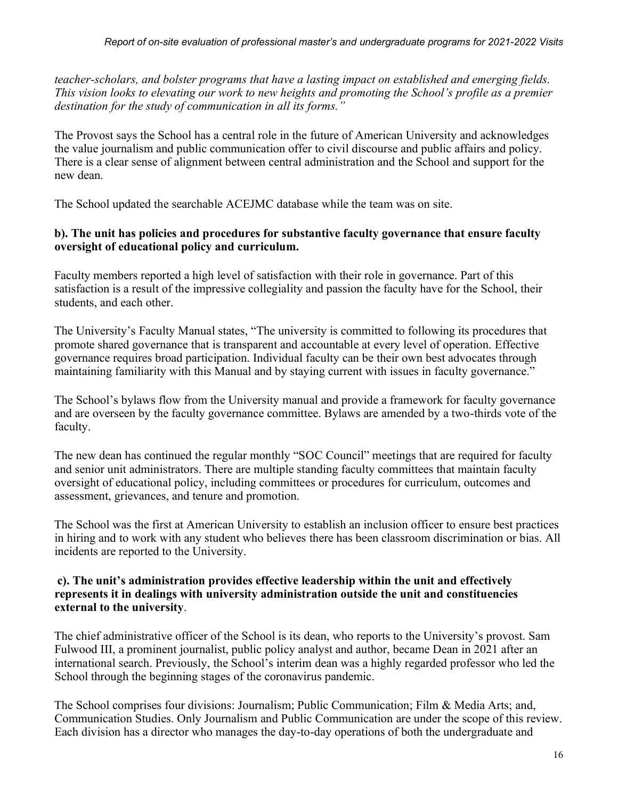*teacher-scholars, and bolster programs that have a lasting impact on established and emerging fields. This vision looks to elevating our work to new heights and promoting the School's profile as a premier destination for the study of communication in all its forms."*

The Provost says the School has a central role in the future of American University and acknowledges the value journalism and public communication offer to civil discourse and public affairs and policy. There is a clear sense of alignment between central administration and the School and support for the new dean.

The School updated the searchable ACEJMC database while the team was on site.

### **b). The unit has policies and procedures for substantive faculty governance that ensure faculty oversight of educational policy and curriculum.**

Faculty members reported a high level of satisfaction with their role in governance. Part of this satisfaction is a result of the impressive collegiality and passion the faculty have for the School, their students, and each other.

The University's Faculty Manual states, "The university is committed to following its procedures that promote shared governance that is transparent and accountable at every level of operation. Effective governance requires broad participation. Individual faculty can be their own best advocates through maintaining familiarity with this Manual and by staying current with issues in faculty governance."

The School's bylaws flow from the University manual and provide a framework for faculty governance and are overseen by the faculty governance committee. Bylaws are amended by a two-thirds vote of the faculty.

The new dean has continued the regular monthly "SOC Council" meetings that are required for faculty and senior unit administrators. There are multiple standing faculty committees that maintain faculty oversight of educational policy, including committees or procedures for curriculum, outcomes and assessment, grievances, and tenure and promotion.

The School was the first at American University to establish an inclusion officer to ensure best practices in hiring and to work with any student who believes there has been classroom discrimination or bias. All incidents are reported to the University.

#### **c). The unit's administration provides effective leadership within the unit and effectively represents it in dealings with university administration outside the unit and constituencies external to the university**.

The chief administrative officer of the School is its dean, who reports to the University's provost. Sam Fulwood III, a prominent journalist, public policy analyst and author, became Dean in 2021 after an international search. Previously, the School's interim dean was a highly regarded professor who led the School through the beginning stages of the coronavirus pandemic.

The School comprises four divisions: Journalism; Public Communication; Film & Media Arts; and, Communication Studies. Only Journalism and Public Communication are under the scope of this review. Each division has a director who manages the day-to-day operations of both the undergraduate and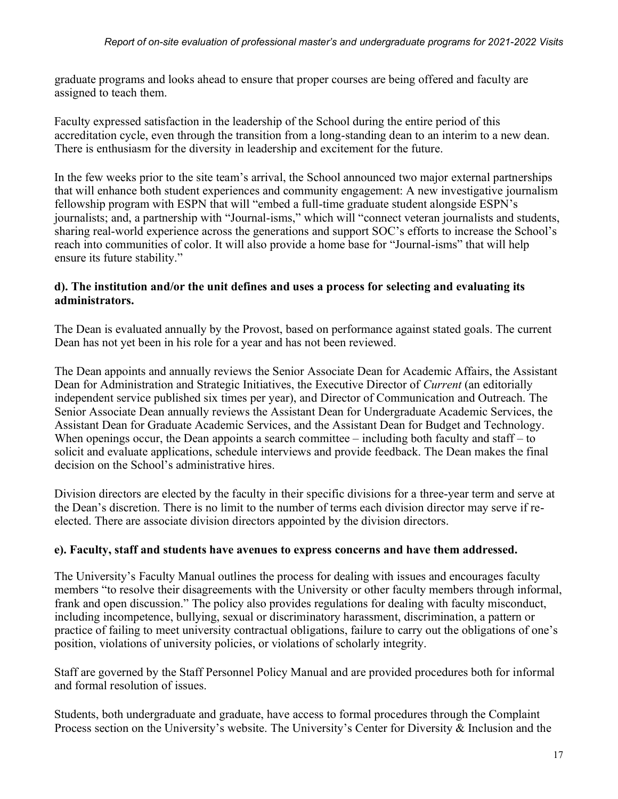graduate programs and looks ahead to ensure that proper courses are being offered and faculty are assigned to teach them.

Faculty expressed satisfaction in the leadership of the School during the entire period of this accreditation cycle, even through the transition from a long-standing dean to an interim to a new dean. There is enthusiasm for the diversity in leadership and excitement for the future.

In the few weeks prior to the site team's arrival, the School announced two major external partnerships that will enhance both student experiences and community engagement: A new investigative journalism fellowship program with ESPN that will "embed a full-time graduate student alongside ESPN's journalists; and, a partnership with "Journal-isms," which will "connect veteran journalists and students, sharing real-world experience across the generations and support SOC's efforts to increase the School's reach into communities of color. It will also provide a home base for "Journal-isms" that will help ensure its future stability."

### **d). The institution and/or the unit defines and uses a process for selecting and evaluating its administrators.**

The Dean is evaluated annually by the Provost, based on performance against stated goals. The current Dean has not yet been in his role for a year and has not been reviewed.

The Dean appoints and annually reviews the Senior Associate Dean for Academic Affairs, the Assistant Dean for Administration and Strategic Initiatives, the Executive Director of *Current* (an editorially independent service published six times per year), and Director of Communication and Outreach. The Senior Associate Dean annually reviews the Assistant Dean for Undergraduate Academic Services, the Assistant Dean for Graduate Academic Services, and the Assistant Dean for Budget and Technology. When openings occur, the Dean appoints a search committee – including both faculty and staff – to solicit and evaluate applications, schedule interviews and provide feedback. The Dean makes the final decision on the School's administrative hires.

Division directors are elected by the faculty in their specific divisions for a three-year term and serve at the Dean's discretion. There is no limit to the number of terms each division director may serve if reelected. There are associate division directors appointed by the division directors.

### **e). Faculty, staff and students have avenues to express concerns and have them addressed.**

The University's Faculty Manual outlines the process for dealing with issues and encourages faculty members "to resolve their disagreements with the University or other faculty members through informal, frank and open discussion." The policy also provides regulations for dealing with faculty misconduct, including incompetence, bullying, sexual or discriminatory harassment, discrimination, a pattern or practice of failing to meet university contractual obligations, failure to carry out the obligations of one's position, violations of university policies, or violations of scholarly integrity.

Staff are governed by the Staff Personnel Policy Manual and are provided procedures both for informal and formal resolution of issues.

Students, both undergraduate and graduate, have access to formal procedures through the Complaint Process section on the University's website. The University's Center for Diversity & Inclusion and the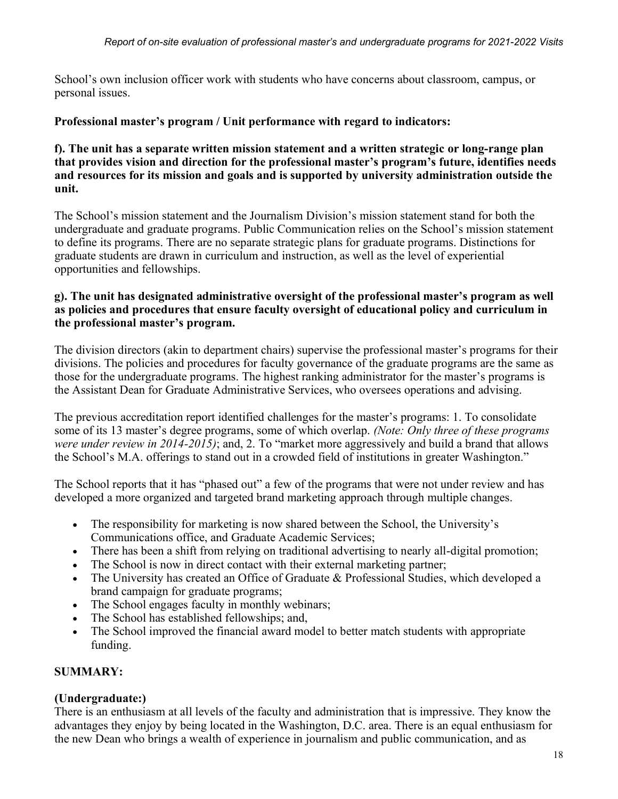School's own inclusion officer work with students who have concerns about classroom, campus, or personal issues.

### **Professional master's program / Unit performance with regard to indicators:**

#### **f). The unit has a separate written mission statement and a written strategic or long-range plan that provides vision and direction for the professional master's program's future, identifies needs and resources for its mission and goals and is supported by university administration outside the unit.**

The School's mission statement and the Journalism Division's mission statement stand for both the undergraduate and graduate programs. Public Communication relies on the School's mission statement to define its programs. There are no separate strategic plans for graduate programs. Distinctions for graduate students are drawn in curriculum and instruction, as well as the level of experiential opportunities and fellowships.

#### **g). The unit has designated administrative oversight of the professional master's program as well as policies and procedures that ensure faculty oversight of educational policy and curriculum in the professional master's program.**

The division directors (akin to department chairs) supervise the professional master's programs for their divisions. The policies and procedures for faculty governance of the graduate programs are the same as those for the undergraduate programs. The highest ranking administrator for the master's programs is the Assistant Dean for Graduate Administrative Services, who oversees operations and advising.

The previous accreditation report identified challenges for the master's programs: 1. To consolidate some of its 13 master's degree programs, some of which overlap. *(Note: Only three of these programs were under review in 2014-2015*); and, 2. To "market more aggressively and build a brand that allows the School's M.A. offerings to stand out in a crowded field of institutions in greater Washington."

The School reports that it has "phased out" a few of the programs that were not under review and has developed a more organized and targeted brand marketing approach through multiple changes.

- The responsibility for marketing is now shared between the School, the University's Communications office, and Graduate Academic Services;
- There has been a shift from relying on traditional advertising to nearly all-digital promotion;
- The School is now in direct contact with their external marketing partner;
- The University has created an Office of Graduate & Professional Studies, which developed a brand campaign for graduate programs;
- The School engages faculty in monthly webinars;
- The School has established fellowships; and,
- The School improved the financial award model to better match students with appropriate funding.

### **SUMMARY:**

### **(Undergraduate:)**

There is an enthusiasm at all levels of the faculty and administration that is impressive. They know the advantages they enjoy by being located in the Washington, D.C. area. There is an equal enthusiasm for the new Dean who brings a wealth of experience in journalism and public communication, and as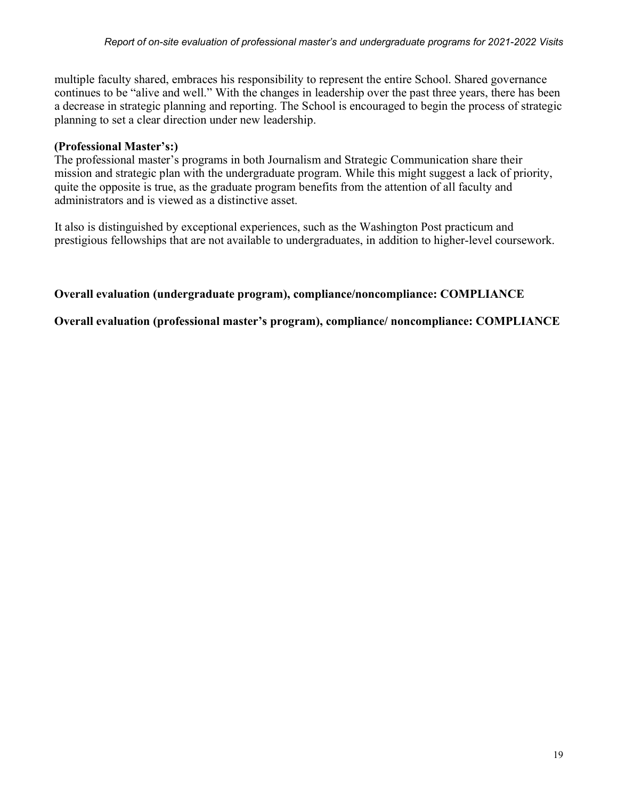multiple faculty shared, embraces his responsibility to represent the entire School. Shared governance continues to be "alive and well." With the changes in leadership over the past three years, there has been a decrease in strategic planning and reporting. The School is encouraged to begin the process of strategic planning to set a clear direction under new leadership.

### **(Professional Master's:)**

The professional master's programs in both Journalism and Strategic Communication share their mission and strategic plan with the undergraduate program. While this might suggest a lack of priority, quite the opposite is true, as the graduate program benefits from the attention of all faculty and administrators and is viewed as a distinctive asset.

It also is distinguished by exceptional experiences, such as the Washington Post practicum and prestigious fellowships that are not available to undergraduates, in addition to higher-level coursework.

### **Overall evaluation (undergraduate program), compliance/noncompliance: COMPLIANCE**

**Overall evaluation (professional master's program), compliance/ noncompliance: COMPLIANCE**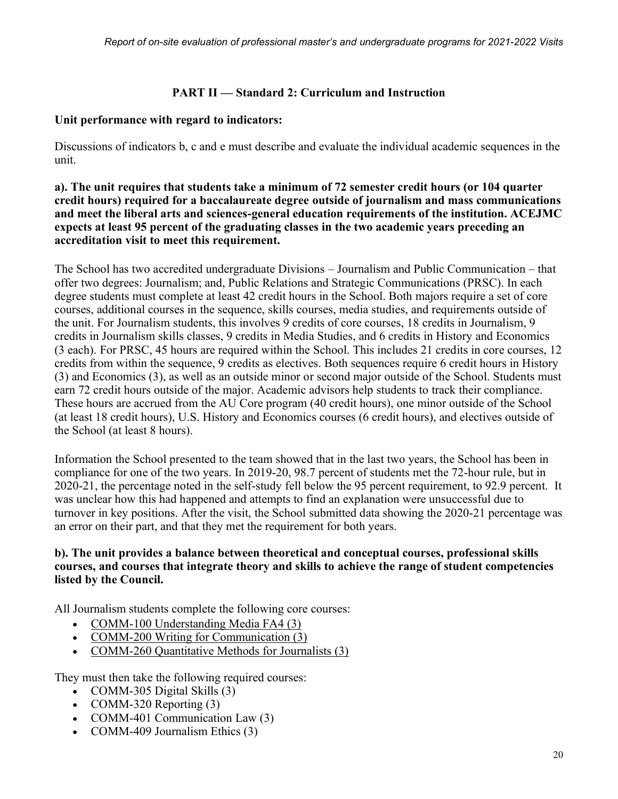### **PART II — Standard 2: Curriculum and Instruction**

#### **Unit performance with regard to indicators:**

Discussions of indicators b, c and e must describe and evaluate the individual academic sequences in the unit.

#### **a). The unit requires that students take a minimum of 72 semester credit hours (or 104 quarter credit hours) required for a baccalaureate degree outside of journalism and mass communications and meet the liberal arts and sciences-general education requirements of the institution. ACEJMC expects at least 95 percent of the graduating classes in the two academic years preceding an accreditation visit to meet this requirement.**

The School has two accredited undergraduate Divisions – Journalism and Public Communication – that offer two degrees: Journalism; and, Public Relations and Strategic Communications (PRSC). In each degree students must complete at least 42 credit hours in the School. Both majors require a set of core courses, additional courses in the sequence, skills courses, media studies, and requirements outside of the unit. For Journalism students, this involves 9 credits of core courses, 18 credits in Journalism, 9 credits in Journalism skills classes, 9 credits in Media Studies, and 6 credits in History and Economics (3 each). For PRSC, 45 hours are required within the School. This includes 21 credits in core courses, 12 credits from within the sequence, 9 credits as electives. Both sequences require 6 credit hours in History (3) and Economics (3), as well as an outside minor or second major outside of the School. Students must earn 72 credit hours outside of the major. Academic advisors help students to track their compliance. These hours are accrued from the AU Core program (40 credit hours), one minor outside of the School (at least 18 credit hours), U.S. History and Economics courses (6 credit hours), and electives outside of the School (at least 8 hours).

Information the School presented to the team showed that in the last two years, the School has been in compliance for one of the two years. In 2019-20, 98.7 percent of students met the 72-hour rule, but in 2020-21, the percentage noted in the self-study fell below the 95 percent requirement, to 92.9 percent. It was unclear how this had happened and attempts to find an explanation were unsuccessful due to turnover in key positions. After the visit, the School submitted data showing the 2020-21 percentage was an error on their part, and that they met the requirement for both years.

#### **b). The unit provides a balance between theoretical and conceptual courses, professional skills courses, and courses that integrate theory and skills to achieve the range of student competencies listed by the Council.**

All Journalism students complete the following core courses:

- [COMM-100 Understanding Media FA4 \(3\)](https://catalog.american.edu/preview_course_nopop.php?catoid=14&coid=54726)
- [COMM-200 Writing for Communication \(3\)](https://catalog.american.edu/preview_course_nopop.php?catoid=14&coid=54729)
- [COMM-260 Quantitative Methods for Journalists \(3\)](https://catalog.american.edu/preview_course_nopop.php?catoid=14&coid=57800)

They must then take the following required courses:

- COMM-305 Digital Skills (3)
- COMM-320 Reporting (3)
- COMM-401 Communication Law (3)
- COMM-409 Journalism Ethics (3)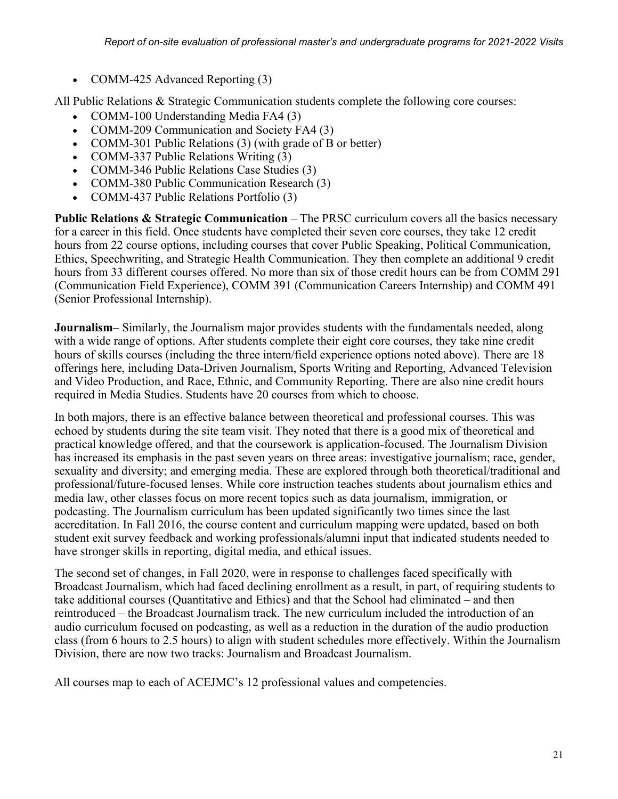• COMM-425 Advanced Reporting (3)

All Public Relations & Strategic Communication students complete the following core courses:

- COMM-100 Understanding Media FA4 (3)
- COMM-209 Communication and Society FA4 (3)
- COMM-301 Public Relations (3) (with grade of B or better)
- COMM-337 Public Relations Writing (3)
- COMM-346 Public Relations Case Studies (3)
- COMM-380 Public Communication Research (3)
- COMM-437 Public Relations Portfolio (3)

**Public Relations & Strategic Communication** – The PRSC curriculum covers all the basics necessary for a career in this field. Once students have completed their seven core courses, they take 12 credit hours from 22 course options, including courses that cover Public Speaking, Political Communication, Ethics, Speechwriting, and Strategic Health Communication. They then complete an additional 9 credit hours from 33 different courses offered. No more than six of those credit hours can be from COMM 291 (Communication Field Experience), COMM 391 (Communication Careers Internship) and COMM 491 (Senior Professional Internship).

**Journalism**– Similarly, the Journalism major provides students with the fundamentals needed, along with a wide range of options. After students complete their eight core courses, they take nine credit hours of skills courses (including the three intern/field experience options noted above). There are 18 offerings here, including Data-Driven Journalism, Sports Writing and Reporting, Advanced Television and Video Production, and Race, Ethnic, and Community Reporting. There are also nine credit hours required in Media Studies. Students have 20 courses from which to choose.

In both majors, there is an effective balance between theoretical and professional courses. This was echoed by students during the site team visit. They noted that there is a good mix of theoretical and practical knowledge offered, and that the coursework is application-focused. The Journalism Division has increased its emphasis in the past seven years on three areas: investigative journalism; race, gender, sexuality and diversity; and emerging media. These are explored through both theoretical/traditional and professional/future-focused lenses. While core instruction teaches students about journalism ethics and media law, other classes focus on more recent topics such as data journalism, immigration, or podcasting. The Journalism curriculum has been updated significantly two times since the last accreditation. In Fall 2016, the course content and curriculum mapping were updated, based on both student exit survey feedback and working professionals/alumni input that indicated students needed to have stronger skills in reporting, digital media, and ethical issues.

The second set of changes, in Fall 2020, were in response to challenges faced specifically with Broadcast Journalism, which had faced declining enrollment as a result, in part, of requiring students to take additional courses (Quantitative and Ethics) and that the School had eliminated – and then reintroduced – the Broadcast Journalism track. The new curriculum included the introduction of an audio curriculum focused on podcasting, as well as a reduction in the duration of the audio production class (from 6 hours to 2.5 hours) to align with student schedules more effectively. Within the Journalism Division, there are now two tracks: Journalism and Broadcast Journalism.

All courses map to each of ACEJMC's 12 professional values and competencies.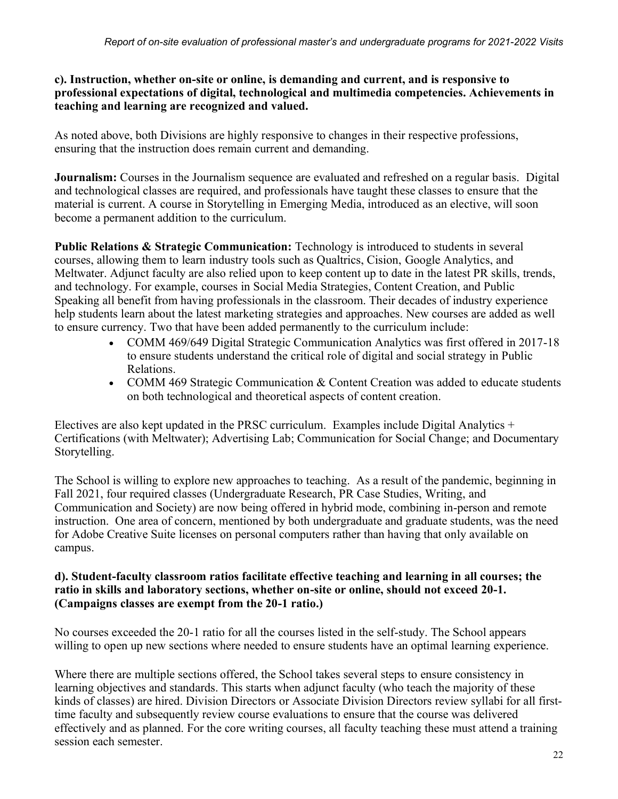#### **c). Instruction, whether on-site or online, is demanding and current, and is responsive to professional expectations of digital, technological and multimedia competencies. Achievements in teaching and learning are recognized and valued.**

As noted above, both Divisions are highly responsive to changes in their respective professions, ensuring that the instruction does remain current and demanding.

**Journalism:** Courses in the Journalism sequence are evaluated and refreshed on a regular basis. Digital and technological classes are required, and professionals have taught these classes to ensure that the material is current. A course in Storytelling in Emerging Media, introduced as an elective, will soon become a permanent addition to the curriculum.

**Public Relations & Strategic Communication:** Technology is introduced to students in several courses, allowing them to learn industry tools such as Qualtrics, Cision, Google Analytics, and Meltwater. Adjunct faculty are also relied upon to keep content up to date in the latest PR skills, trends, and technology. For example, courses in Social Media Strategies, Content Creation, and Public Speaking all benefit from having professionals in the classroom. Their decades of industry experience help students learn about the latest marketing strategies and approaches. New courses are added as well to ensure currency. Two that have been added permanently to the curriculum include:

- COMM 469/649 Digital Strategic Communication Analytics was first offered in 2017-18 to ensure students understand the critical role of digital and social strategy in Public Relations.
- COMM 469 Strategic Communication & Content Creation was added to educate students on both technological and theoretical aspects of content creation.

Electives are also kept updated in the PRSC curriculum. Examples include Digital Analytics  $+$ Certifications (with Meltwater); Advertising Lab; Communication for Social Change; and Documentary Storytelling.

The School is willing to explore new approaches to teaching. As a result of the pandemic, beginning in Fall 2021, four required classes (Undergraduate Research, PR Case Studies, Writing, and Communication and Society) are now being offered in hybrid mode, combining in-person and remote instruction. One area of concern, mentioned by both undergraduate and graduate students, was the need for Adobe Creative Suite licenses on personal computers rather than having that only available on campus.

### **d). Student-faculty classroom ratios facilitate effective teaching and learning in all courses; the ratio in skills and laboratory sections, whether on-site or online, should not exceed 20-1. (Campaigns classes are exempt from the 20-1 ratio.)**

No courses exceeded the 20-1 ratio for all the courses listed in the self-study. The School appears willing to open up new sections where needed to ensure students have an optimal learning experience.

Where there are multiple sections offered, the School takes several steps to ensure consistency in learning objectives and standards. This starts when adjunct faculty (who teach the majority of these kinds of classes) are hired. Division Directors or Associate Division Directors review syllabi for all firsttime faculty and subsequently review course evaluations to ensure that the course was delivered effectively and as planned. For the core writing courses, all faculty teaching these must attend a training session each semester.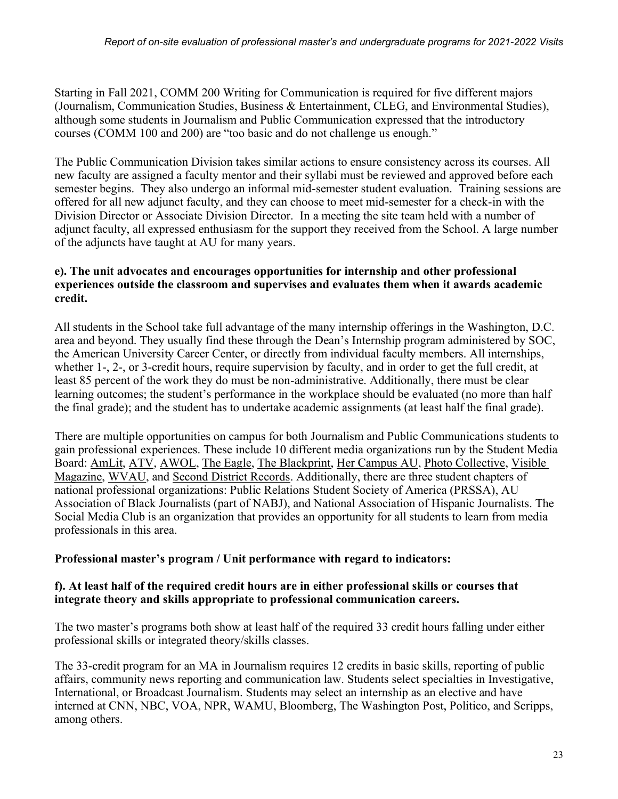Starting in Fall 2021, COMM 200 Writing for Communication is required for five different majors (Journalism, Communication Studies, Business & Entertainment, CLEG, and Environmental Studies), although some students in Journalism and Public Communication expressed that the introductory courses (COMM 100 and 200) are "too basic and do not challenge us enough."

The Public Communication Division takes similar actions to ensure consistency across its courses. All new faculty are assigned a faculty mentor and their syllabi must be reviewed and approved before each semester begins. They also undergo an informal mid-semester student evaluation. Training sessions are offered for all new adjunct faculty, and they can choose to meet mid-semester for a check-in with the Division Director or Associate Division Director. In a meeting the site team held with a number of adjunct faculty, all expressed enthusiasm for the support they received from the School. A large number of the adjuncts have taught at AU for many years.

#### **e). The unit advocates and encourages opportunities for internship and other professional experiences outside the classroom and supervises and evaluates them when it awards academic credit.**

All students in the School take full advantage of the many internship offerings in the Washington, D.C. area and beyond. They usually find these through the Dean's Internship program administered by SOC, the American University Career Center, or directly from individual faculty members. All internships, whether 1-, 2-, or 3-credit hours, require supervision by faculty, and in order to get the full credit, at least 85 percent of the work they do must be non-administrative. Additionally, there must be clear learning outcomes; the student's performance in the workplace should be evaluated (no more than half the final grade); and the student has to undertake academic assignments (at least half the final grade).

There are multiple opportunities on campus for both Journalism and Public Communications students to gain professional experiences. These include 10 different media organizations run by the Student Media Board: [AmLit,](http://www.amlitmag.com/) [ATV,](https://auatv.com/) [AWOL,](https://awolau.org/) [The Eagle,](https://www.theeagleonline.com/) [The Blackprint,](https://www.theblackprintau.com/) [Her Campus AU,](https://www.hercampus.com/school/american) [Photo Collective,](https://auphotocollective.org/) [Visible](https://visiblemag.com/)  [Magazine,](https://visiblemag.com/) [WVAU,](http://wvau.org/) and [Second District Records.](https://seconddistrictrecordsdc.com/) Additionally, there are three student chapters of national professional organizations: Public Relations Student Society of America (PRSSA), AU Association of Black Journalists (part of NABJ), and National Association of Hispanic Journalists. The Social Media Club is an organization that provides an opportunity for all students to learn from media professionals in this area.

### **Professional master's program / Unit performance with regard to indicators:**

#### **f). At least half of the required credit hours are in either professional skills or courses that integrate theory and skills appropriate to professional communication careers.**

The two master's programs both show at least half of the required 33 credit hours falling under either professional skills or integrated theory/skills classes.

The 33-credit program for an MA in Journalism requires 12 credits in basic skills, reporting of public affairs, community news reporting and communication law. Students select specialties in Investigative, International, or Broadcast Journalism. Students may select an internship as an elective and have interned at CNN, NBC, VOA, NPR, WAMU, Bloomberg, The Washington Post, Politico, and Scripps, among others.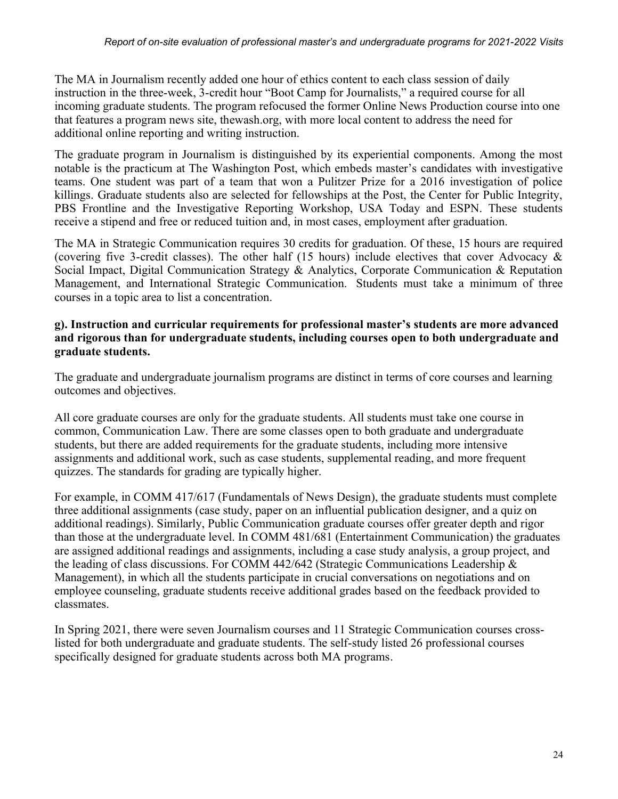The MA in Journalism recently added one hour of ethics content to each class session of daily instruction in the three-week, 3-credit hour "Boot Camp for Journalists," a required course for all incoming graduate students. The program refocused the former Online News Production course into one that features a program news site, thewash.org, with more local content to address the need for additional online reporting and writing instruction.

The graduate program in Journalism is distinguished by its experiential components. Among the most notable is the practicum at The Washington Post, which embeds master's candidates with investigative teams. One student was part of a team that won a Pulitzer Prize for a 2016 investigation of police killings. Graduate students also are selected for fellowships at the Post, the Center for Public Integrity, PBS Frontline and the Investigative Reporting Workshop, USA Today and ESPN. These students receive a stipend and free or reduced tuition and, in most cases, employment after graduation.

The MA in Strategic Communication requires 30 credits for graduation. Of these, 15 hours are required (covering five 3-credit classes). The other half (15 hours) include electives that cover Advocacy & Social Impact, Digital Communication Strategy & Analytics, Corporate Communication & Reputation Management, and International Strategic Communication. Students must take a minimum of three courses in a topic area to list a concentration.

#### **g). Instruction and curricular requirements for professional master's students are more advanced and rigorous than for undergraduate students, including courses open to both undergraduate and graduate students.**

The graduate and undergraduate journalism programs are distinct in terms of core courses and learning outcomes and objectives.

All core graduate courses are only for the graduate students. All students must take one course in common, Communication Law. There are some classes open to both graduate and undergraduate students, but there are added requirements for the graduate students, including more intensive assignments and additional work, such as case students, supplemental reading, and more frequent quizzes. The standards for grading are typically higher.

For example, in COMM 417/617 (Fundamentals of News Design), the graduate students must complete three additional assignments (case study, paper on an influential publication designer, and a quiz on additional readings). Similarly, Public Communication graduate courses offer greater depth and rigor than those at the undergraduate level. In COMM 481/681 (Entertainment Communication) the graduates are assigned additional readings and assignments, including a case study analysis, a group project, and the leading of class discussions. For COMM 442/642 (Strategic Communications Leadership & Management), in which all the students participate in crucial conversations on negotiations and on employee counseling, graduate students receive additional grades based on the feedback provided to classmates.

In Spring 2021, there were seven Journalism courses and 11 Strategic Communication courses crosslisted for both undergraduate and graduate students. The self-study listed 26 professional courses specifically designed for graduate students across both MA programs.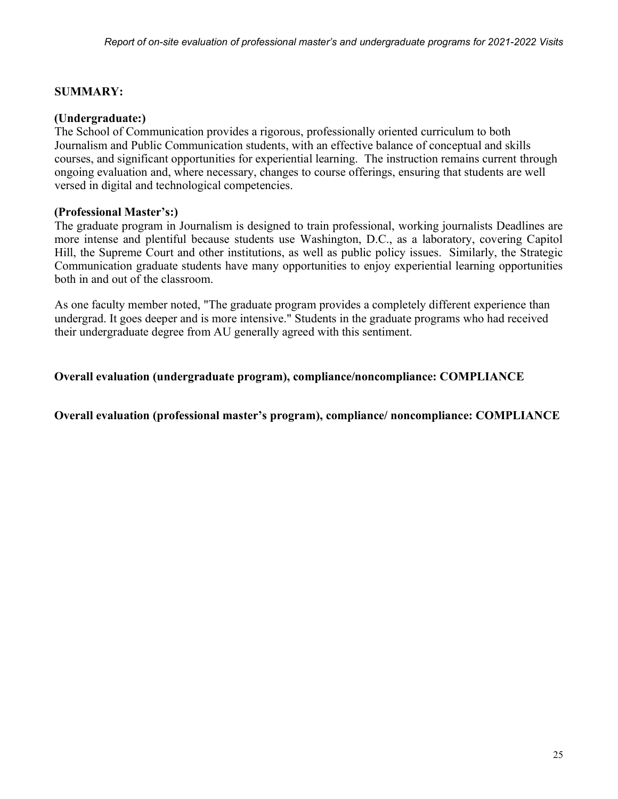#### **SUMMARY:**

#### **(Undergraduate:)**

The School of Communication provides a rigorous, professionally oriented curriculum to both Journalism and Public Communication students, with an effective balance of conceptual and skills courses, and significant opportunities for experiential learning. The instruction remains current through ongoing evaluation and, where necessary, changes to course offerings, ensuring that students are well versed in digital and technological competencies.

#### **(Professional Master's:)**

The graduate program in Journalism is designed to train professional, working journalists Deadlines are more intense and plentiful because students use Washington, D.C., as a laboratory, covering Capitol Hill, the Supreme Court and other institutions, as well as public policy issues. Similarly, the Strategic Communication graduate students have many opportunities to enjoy experiential learning opportunities both in and out of the classroom.

As one faculty member noted, "The graduate program provides a completely different experience than undergrad. It goes deeper and is more intensive." Students in the graduate programs who had received their undergraduate degree from AU generally agreed with this sentiment.

#### **Overall evaluation (undergraduate program), compliance/noncompliance: COMPLIANCE**

**Overall evaluation (professional master's program), compliance/ noncompliance: COMPLIANCE**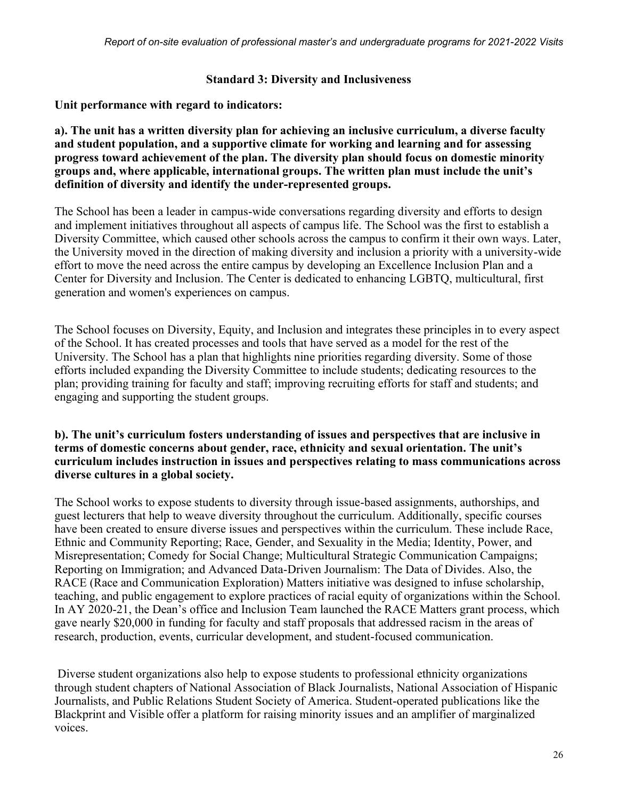#### **Standard 3: Diversity and Inclusiveness**

#### **Unit performance with regard to indicators:**

**a). The unit has a written diversity plan for achieving an inclusive curriculum, a diverse faculty and student population, and a supportive climate for working and learning and for assessing progress toward achievement of the plan. The diversity plan should focus on domestic minority groups and, where applicable, international groups. The written plan must include the unit's definition of diversity and identify the under-represented groups.**

The School has been a leader in campus-wide conversations regarding diversity and efforts to design and implement initiatives throughout all aspects of campus life. The School was the first to establish a Diversity Committee, which caused other schools across the campus to confirm it their own ways. Later, the University moved in the direction of making diversity and inclusion a priority with a university-wide effort to move the need across the entire campus by developing an Excellence Inclusion Plan and a Center for Diversity and Inclusion. The Center is dedicated to enhancing LGBTQ, multicultural, first generation and women's experiences on campus.

The School focuses on Diversity, Equity, and Inclusion and integrates these principles in to every aspect of the School. It has created processes and tools that have served as a model for the rest of the University. The School has a plan that highlights nine priorities regarding diversity. Some of those efforts included expanding the Diversity Committee to include students; dedicating resources to the plan; providing training for faculty and staff; improving recruiting efforts for staff and students; and engaging and supporting the student groups.

#### **b). The unit's curriculum fosters understanding of issues and perspectives that are inclusive in terms of domestic concerns about gender, race, ethnicity and sexual orientation. The unit's curriculum includes instruction in issues and perspectives relating to mass communications across diverse cultures in a global society.**

The School works to expose students to diversity through issue-based assignments, authorships, and guest lecturers that help to weave diversity throughout the curriculum. Additionally, specific courses have been created to ensure diverse issues and perspectives within the curriculum. These include Race, Ethnic and Community Reporting; Race, Gender, and Sexuality in the Media; Identity, Power, and Misrepresentation; Comedy for Social Change; Multicultural Strategic Communication Campaigns; Reporting on Immigration; and Advanced Data-Driven Journalism: The Data of Divides. Also, the RACE (Race and Communication Exploration) Matters initiative was designed to infuse scholarship, teaching, and public engagement to explore practices of racial equity of organizations within the School. In AY 2020-21, the Dean's office and Inclusion Team launched the RACE Matters grant process, which gave nearly \$20,000 in funding for faculty and staff proposals that addressed racism in the areas of research, production, events, curricular development, and student-focused communication.

Diverse student organizations also help to expose students to professional ethnicity organizations through student chapters of National Association of Black Journalists, National Association of Hispanic Journalists, and Public Relations Student Society of America. Student-operated publications like the Blackprint and Visible offer a platform for raising minority issues and an amplifier of marginalized voices.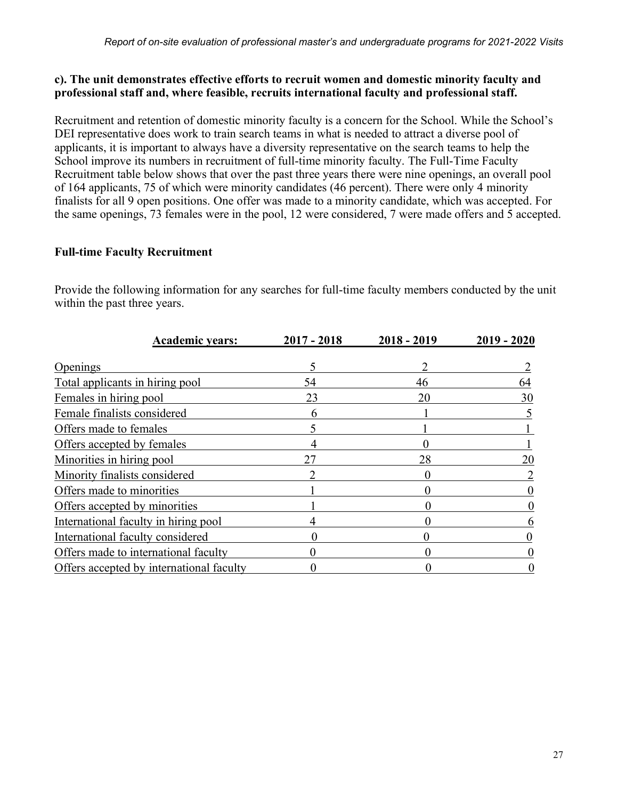#### **c). The unit demonstrates effective efforts to recruit women and domestic minority faculty and professional staff and, where feasible, recruits international faculty and professional staff.**

Recruitment and retention of domestic minority faculty is a concern for the School. While the School's DEI representative does work to train search teams in what is needed to attract a diverse pool of applicants, it is important to always have a diversity representative on the search teams to help the School improve its numbers in recruitment of full-time minority faculty. The Full-Time Faculty Recruitment table below shows that over the past three years there were nine openings, an overall pool of 164 applicants, 75 of which were minority candidates (46 percent). There were only 4 minority finalists for all 9 open positions. One offer was made to a minority candidate, which was accepted. For the same openings, 73 females were in the pool, 12 were considered, 7 were made offers and 5 accepted.

### **Full-time Faculty Recruitment**

Provide the following information for any searches for full-time faculty members conducted by the unit within the past three years.

| <b>Academic years:</b>                   | $2017 - 2018$ | $2018 - 2019$ | $2019 - 2020$ |
|------------------------------------------|---------------|---------------|---------------|
| Openings                                 |               |               |               |
| Total applicants in hiring pool          | 54            | 46            | 64            |
| Females in hiring pool                   | 23            | 20            | 30            |
| Female finalists considered              |               |               |               |
| Offers made to females                   |               |               |               |
| Offers accepted by females               |               |               |               |
| Minorities in hiring pool                | 27            | 28            | 20            |
| Minority finalists considered            |               |               |               |
| Offers made to minorities                |               |               |               |
| Offers accepted by minorities            |               |               |               |
| International faculty in hiring pool     |               |               |               |
| International faculty considered         |               |               |               |
| Offers made to international faculty     |               |               |               |
| Offers accepted by international faculty |               |               |               |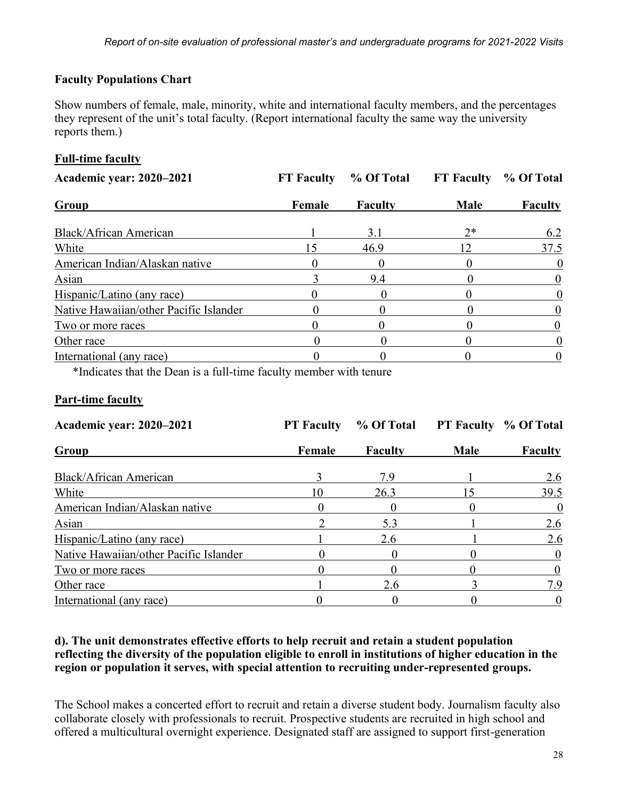### **Faculty Populations Chart**

Show numbers of female, male, minority, white and international faculty members, and the percentages they represent of the unit's total faculty. (Report international faculty the same way the university reports them.)

### **Full-time faculty**

| <b>Academic year: 2020–2021</b>        | <b>FT Faculty</b> | % Of Total     | <b>FT Faculty</b> | % Of Total     |  |
|----------------------------------------|-------------------|----------------|-------------------|----------------|--|
| Group                                  | Female            | <b>Faculty</b> | <b>Male</b>       | <b>Faculty</b> |  |
| Black/African American                 |                   | 3.1            | $2*$              | 6.2            |  |
| White                                  | 15                | 46.9           |                   | 37.5           |  |
| American Indian/Alaskan native         |                   |                |                   | $\theta$       |  |
| Asian                                  |                   | 9.4            |                   |                |  |
| Hispanic/Latino (any race)             |                   |                |                   |                |  |
| Native Hawaiian/other Pacific Islander |                   |                |                   |                |  |
| Two or more races                      |                   |                |                   |                |  |
| Other race                             |                   |                |                   |                |  |
| International (any race)               |                   |                |                   |                |  |

\*Indicates that the Dean is a full-time faculty member with tenure

#### **Part-time faculty**

| <b>Academic year: 2020-2021</b>        | <b>PT</b> Faculty | % Of Total     |             | <b>PT Faculty % Of Total</b> |  |
|----------------------------------------|-------------------|----------------|-------------|------------------------------|--|
| Group                                  | Female            | <b>Faculty</b> | <b>Male</b> | <b>Faculty</b>               |  |
| Black/African American                 |                   | 79             |             | 2.6                          |  |
| White                                  | 10                | 26.3           |             | 39.5                         |  |
| American Indian/Alaskan native         |                   |                |             | $\theta$                     |  |
| Asian                                  |                   | 5.3            |             | 2.6                          |  |
| Hispanic/Latino (any race)             |                   | 2.6            |             | 2.6                          |  |
| Native Hawaiian/other Pacific Islander |                   |                |             |                              |  |
| Two or more races                      |                   |                |             |                              |  |
| Other race                             |                   | 2.6            |             | 7.9                          |  |
| International (any race)               |                   |                |             |                              |  |

#### **d). The unit demonstrates effective efforts to help recruit and retain a student population reflecting the diversity of the population eligible to enroll in institutions of higher education in the region or population it serves, with special attention to recruiting under-represented groups.**

The School makes a concerted effort to recruit and retain a diverse student body. Journalism faculty also collaborate closely with professionals to recruit. Prospective students are recruited in high school and offered a multicultural overnight experience. Designated staff are assigned to support first-generation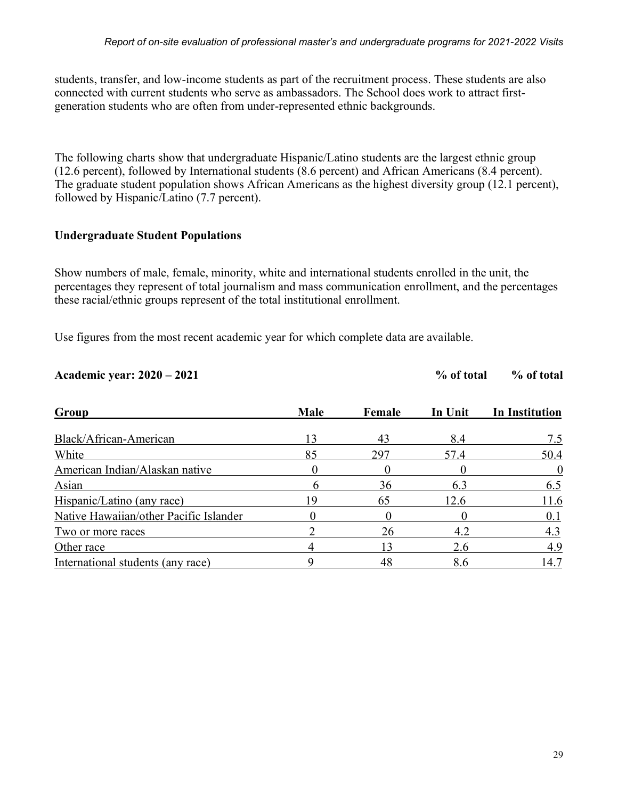students, transfer, and low-income students as part of the recruitment process. These students are also connected with current students who serve as ambassadors. The School does work to attract firstgeneration students who are often from under-represented ethnic backgrounds.

The following charts show that undergraduate Hispanic/Latino students are the largest ethnic group (12.6 percent), followed by International students (8.6 percent) and African Americans (8.4 percent). The graduate student population shows African Americans as the highest diversity group (12.1 percent), followed by Hispanic/Latino (7.7 percent).

#### **Undergraduate Student Populations**

Show numbers of male, female, minority, white and international students enrolled in the unit, the percentages they represent of total journalism and mass communication enrollment, and the percentages these racial/ethnic groups represent of the total institutional enrollment.

Use figures from the most recent academic year for which complete data are available.

| Academic year: 2020 – 2021 | % of total | % of total |
|----------------------------|------------|------------|
|                            |            |            |

| Group                                  | <b>Male</b> | Female | In Unit | <b>In Institution</b> |  |
|----------------------------------------|-------------|--------|---------|-----------------------|--|
| Black/African-American                 | 13          | 43     | 8.4     | 7.5                   |  |
| White                                  | 85          | 297    | 57.4    | 50.4                  |  |
| American Indian/Alaskan native         |             |        |         | $\theta$              |  |
| Asian                                  | n           | 36     | 6.3     | 6.5                   |  |
| Hispanic/Latino (any race)             |             | 65     | 12.6    | 11.6                  |  |
| Native Hawaiian/other Pacific Islander |             |        |         | 0.1                   |  |
| Two or more races                      |             | 26     | 42      | 4.3                   |  |
| Other race                             |             |        | 2.6     | 4.9                   |  |
| International students (any race)      |             | 48     | 8.6     | 14.7                  |  |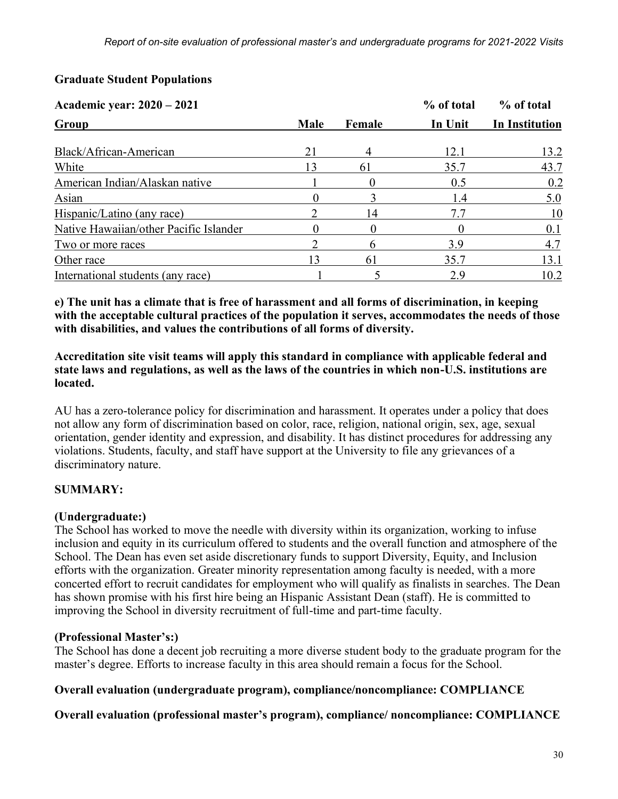### **Graduate Student Populations**

| Academic year: 2020 - 2021             |             |        | % of total | % of total            |  |
|----------------------------------------|-------------|--------|------------|-----------------------|--|
| Group                                  | <b>Male</b> | Female | In Unit    | <b>In Institution</b> |  |
| Black/African-American                 | 21          |        | 12.1       | 13.2                  |  |
| White                                  |             | 61     | 35.7       | 43.7                  |  |
| American Indian/Alaskan native         |             |        | 0.5        | 0.2                   |  |
| Asian                                  |             |        | l 4        | 5.0                   |  |
| Hispanic/Latino (any race)             |             | 14     |            | 10                    |  |
| Native Hawaiian/other Pacific Islander |             |        |            | 0.1                   |  |
| Two or more races                      |             | h      | 3.9        | 4.7                   |  |
| Other race                             | 3           | 61     | 35.7       | 13.1                  |  |
| International students (any race)      |             |        | 2.9        | 10.2                  |  |

**e) The unit has a climate that is free of harassment and all forms of discrimination, in keeping with the acceptable cultural practices of the population it serves, accommodates the needs of those with disabilities, and values the contributions of all forms of diversity.**

**Accreditation site visit teams will apply this standard in compliance with applicable federal and state laws and regulations, as well as the laws of the countries in which non-U.S. institutions are located.**

AU has a zero-tolerance policy for discrimination and harassment. It operates under a policy that does not allow any form of discrimination based on color, race, religion, national origin, sex, age, sexual orientation, gender identity and expression, and disability. It has distinct procedures for addressing any violations. Students, faculty, and staff have support at the University to file any grievances of a discriminatory nature.

### **SUMMARY:**

### **(Undergraduate:)**

The School has worked to move the needle with diversity within its organization, working to infuse inclusion and equity in its curriculum offered to students and the overall function and atmosphere of the School. The Dean has even set aside discretionary funds to support Diversity, Equity, and Inclusion efforts with the organization. Greater minority representation among faculty is needed, with a more concerted effort to recruit candidates for employment who will qualify as finalists in searches. The Dean has shown promise with his first hire being an Hispanic Assistant Dean (staff). He is committed to improving the School in diversity recruitment of full-time and part-time faculty.

### **(Professional Master's:)**

The School has done a decent job recruiting a more diverse student body to the graduate program for the master's degree. Efforts to increase faculty in this area should remain a focus for the School.

### **Overall evaluation (undergraduate program), compliance/noncompliance: COMPLIANCE**

**Overall evaluation (professional master's program), compliance/ noncompliance: COMPLIANCE**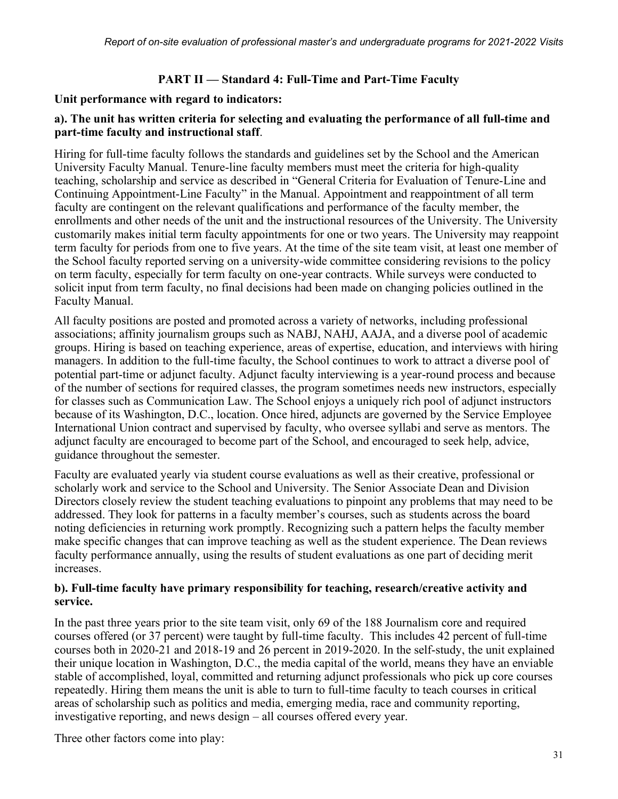### **PART II — Standard 4: Full-Time and Part-Time Faculty**

#### **Unit performance with regard to indicators:**

#### **a). The unit has written criteria for selecting and evaluating the performance of all full-time and part-time faculty and instructional staff**.

Hiring for full-time faculty follows the standards and guidelines set by the School and the American University Faculty Manual. Tenure-line faculty members must meet the criteria for high-quality teaching, scholarship and service as described in "General Criteria for Evaluation of Tenure-Line and Continuing Appointment-Line Faculty" in the Manual. Appointment and reappointment of all term faculty are contingent on the relevant qualifications and performance of the faculty member, the enrollments and other needs of the unit and the instructional resources of the University. The University customarily makes initial term faculty appointments for one or two years. The University may reappoint term faculty for periods from one to five years. At the time of the site team visit, at least one member of the School faculty reported serving on a university-wide committee considering revisions to the policy on term faculty, especially for term faculty on one-year contracts. While surveys were conducted to solicit input from term faculty, no final decisions had been made on changing policies outlined in the Faculty Manual.

All faculty positions are posted and promoted across a variety of networks, including professional associations; affinity journalism groups such as NABJ, NAHJ, AAJA, and a diverse pool of academic groups. Hiring is based on teaching experience, areas of expertise, education, and interviews with hiring managers. In addition to the full-time faculty, the School continues to work to attract a diverse pool of potential part-time or adjunct faculty. Adjunct faculty interviewing is a year-round process and because of the number of sections for required classes, the program sometimes needs new instructors, especially for classes such as Communication Law. The School enjoys a uniquely rich pool of adjunct instructors because of its Washington, D.C., location. Once hired, adjuncts are governed by the Service Employee International Union contract and supervised by faculty, who oversee syllabi and serve as mentors. The adjunct faculty are encouraged to become part of the School, and encouraged to seek help, advice, guidance throughout the semester.

Faculty are evaluated yearly via student course evaluations as well as their creative, professional or scholarly work and service to the School and University. The Senior Associate Dean and Division Directors closely review the student teaching evaluations to pinpoint any problems that may need to be addressed. They look for patterns in a faculty member's courses, such as students across the board noting deficiencies in returning work promptly. Recognizing such a pattern helps the faculty member make specific changes that can improve teaching as well as the student experience. The Dean reviews faculty performance annually, using the results of student evaluations as one part of deciding merit increases.

#### **b). Full-time faculty have primary responsibility for teaching, research/creative activity and service.**

In the past three years prior to the site team visit, only 69 of the 188 Journalism core and required courses offered (or 37 percent) were taught by full-time faculty. This includes 42 percent of full-time courses both in 2020-21 and 2018-19 and 26 percent in 2019-2020. In the self-study, the unit explained their unique location in Washington, D.C., the media capital of the world, means they have an enviable stable of accomplished, loyal, committed and returning adjunct professionals who pick up core courses repeatedly. Hiring them means the unit is able to turn to full-time faculty to teach courses in critical areas of scholarship such as politics and media, emerging media, race and community reporting, investigative reporting, and news design – all courses offered every year.

Three other factors come into play: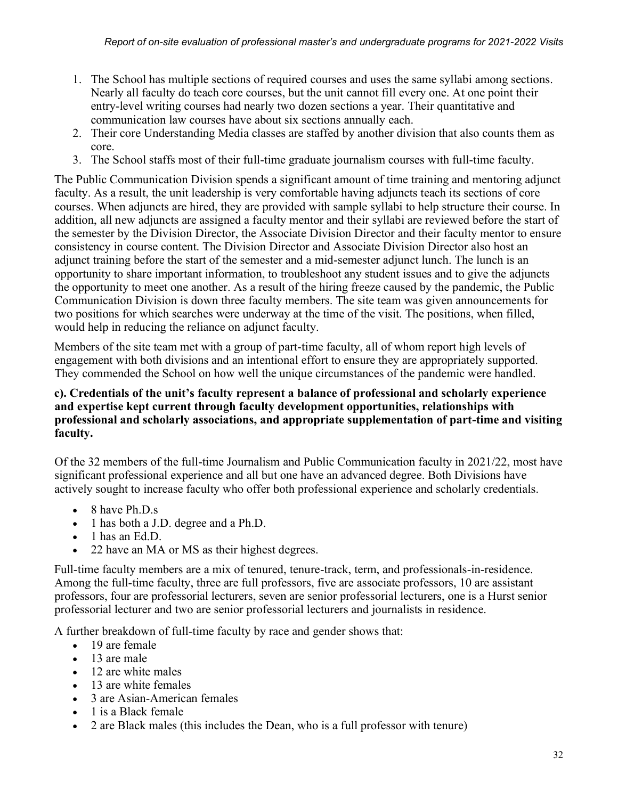- 1. The School has multiple sections of required courses and uses the same syllabi among sections. Nearly all faculty do teach core courses, but the unit cannot fill every one. At one point their entry-level writing courses had nearly two dozen sections a year. Their quantitative and communication law courses have about six sections annually each.
- 2. Their core Understanding Media classes are staffed by another division that also counts them as core.
- 3. The School staffs most of their full-time graduate journalism courses with full-time faculty.

The Public Communication Division spends a significant amount of time training and mentoring adjunct faculty. As a result, the unit leadership is very comfortable having adjuncts teach its sections of core courses. When adjuncts are hired, they are provided with sample syllabi to help structure their course. In addition, all new adjuncts are assigned a faculty mentor and their syllabi are reviewed before the start of the semester by the Division Director, the Associate Division Director and their faculty mentor to ensure consistency in course content. The Division Director and Associate Division Director also host an adjunct training before the start of the semester and a mid-semester adjunct lunch. The lunch is an opportunity to share important information, to troubleshoot any student issues and to give the adjuncts the opportunity to meet one another. As a result of the hiring freeze caused by the pandemic, the Public Communication Division is down three faculty members. The site team was given announcements for two positions for which searches were underway at the time of the visit. The positions, when filled, would help in reducing the reliance on adjunct faculty.

Members of the site team met with a group of part-time faculty, all of whom report high levels of engagement with both divisions and an intentional effort to ensure they are appropriately supported. They commended the School on how well the unique circumstances of the pandemic were handled.

#### **c). Credentials of the unit's faculty represent a balance of professional and scholarly experience and expertise kept current through faculty development opportunities, relationships with professional and scholarly associations, and appropriate supplementation of part-time and visiting faculty.**

Of the 32 members of the full-time Journalism and Public Communication faculty in 2021/22, most have significant professional experience and all but one have an advanced degree. Both Divisions have actively sought to increase faculty who offer both professional experience and scholarly credentials.

- 8 have Ph.D.s
- 1 has both a J.D. degree and a Ph.D.
- 1 has an Ed.D.
- 22 have an MA or MS as their highest degrees.

Full-time faculty members are a mix of tenured, tenure-track, term, and professionals-in-residence. Among the full-time faculty, three are full professors, five are associate professors, 10 are assistant professors, four are professorial lecturers, seven are senior professorial lecturers, one is a Hurst senior professorial lecturer and two are senior professorial lecturers and journalists in residence.

A further breakdown of full-time faculty by race and gender shows that:

- 19 are female
- 13 are male
- 12 are white males
- 13 are white females
- 3 are Asian-American females
- 1 is a Black female
- 2 are Black males (this includes the Dean, who is a full professor with tenure)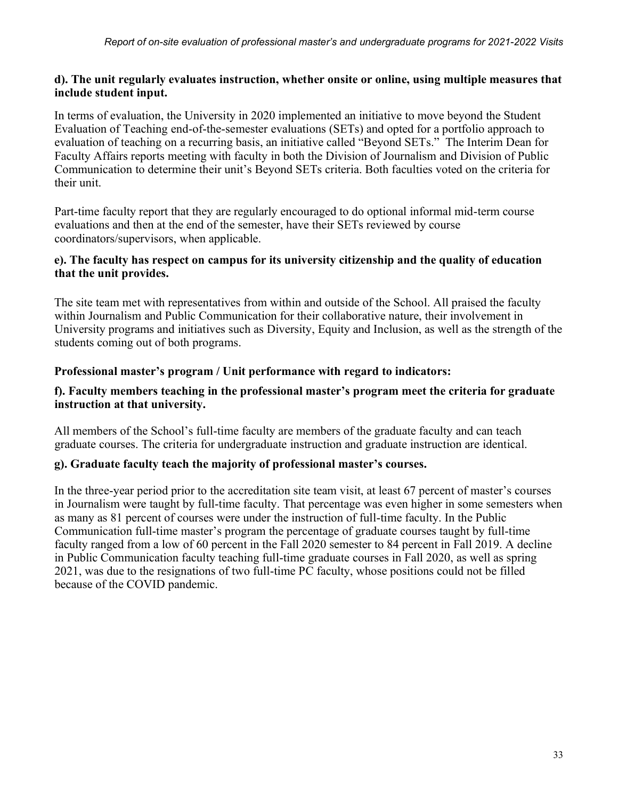#### **d). The unit regularly evaluates instruction, whether onsite or online, using multiple measures that include student input.**

In terms of evaluation, the University in 2020 implemented an initiative to move beyond the Student Evaluation of Teaching end-of-the-semester evaluations (SETs) and opted for a portfolio approach to evaluation of teaching on a recurring basis, an initiative called "Beyond SETs." The Interim Dean for Faculty Affairs reports meeting with faculty in both the Division of Journalism and Division of Public Communication to determine their unit's Beyond SETs criteria. Both faculties voted on the criteria for their unit.

Part-time faculty report that they are regularly encouraged to do optional informal mid-term course evaluations and then at the end of the semester, have their SETs reviewed by course coordinators/supervisors, when applicable.

#### **e). The faculty has respect on campus for its university citizenship and the quality of education that the unit provides.**

The site team met with representatives from within and outside of the School. All praised the faculty within Journalism and Public Communication for their collaborative nature, their involvement in University programs and initiatives such as Diversity, Equity and Inclusion, as well as the strength of the students coming out of both programs.

### **Professional master's program / Unit performance with regard to indicators:**

#### **f). Faculty members teaching in the professional master's program meet the criteria for graduate instruction at that university.**

All members of the School's full-time faculty are members of the graduate faculty and can teach graduate courses. The criteria for undergraduate instruction and graduate instruction are identical.

### **g). Graduate faculty teach the majority of professional master's courses.**

In the three-year period prior to the accreditation site team visit, at least 67 percent of master's courses in Journalism were taught by full-time faculty. That percentage was even higher in some semesters when as many as 81 percent of courses were under the instruction of full-time faculty. In the Public Communication full-time master's program the percentage of graduate courses taught by full-time faculty ranged from a low of 60 percent in the Fall 2020 semester to 84 percent in Fall 2019. A decline in Public Communication faculty teaching full-time graduate courses in Fall 2020, as well as spring 2021, was due to the resignations of two full-time PC faculty, whose positions could not be filled because of the COVID pandemic.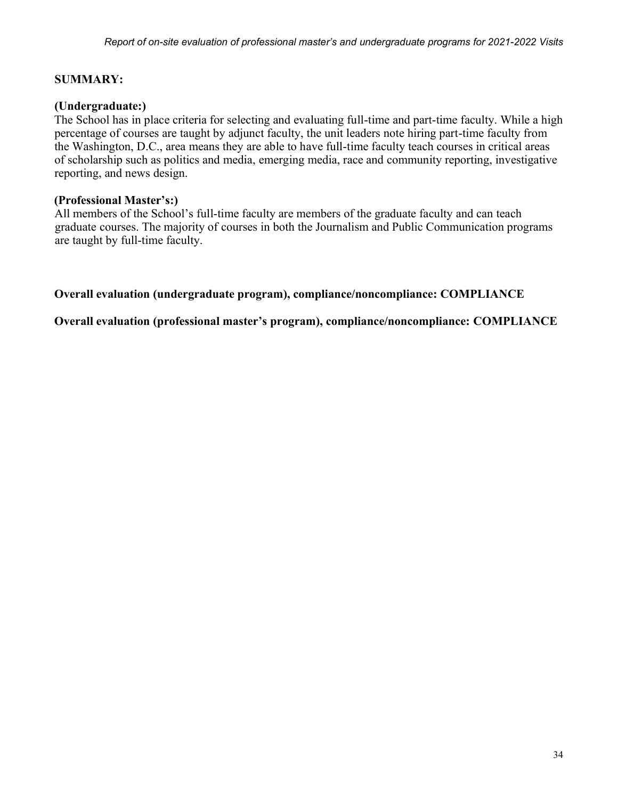#### **SUMMARY:**

#### **(Undergraduate:)**

The School has in place criteria for selecting and evaluating full-time and part-time faculty. While a high percentage of courses are taught by adjunct faculty, the unit leaders note hiring part-time faculty from the Washington, D.C., area means they are able to have full-time faculty teach courses in critical areas of scholarship such as politics and media, emerging media, race and community reporting, investigative reporting, and news design.

#### **(Professional Master's:)**

All members of the School's full-time faculty are members of the graduate faculty and can teach graduate courses. The majority of courses in both the Journalism and Public Communication programs are taught by full-time faculty.

**Overall evaluation (undergraduate program), compliance/noncompliance: COMPLIANCE** 

**Overall evaluation (professional master's program), compliance/noncompliance: COMPLIANCE**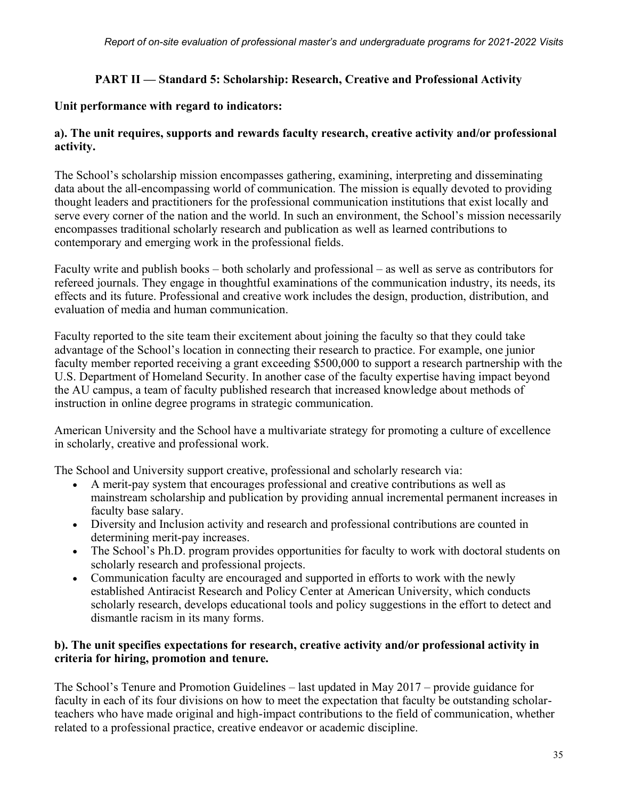### **PART II — Standard 5: Scholarship: Research, Creative and Professional Activity**

### **Unit performance with regard to indicators:**

### **a). The unit requires, supports and rewards faculty research, creative activity and/or professional activity.**

The School's scholarship mission encompasses gathering, examining, interpreting and disseminating data about the all-encompassing world of communication. The mission is equally devoted to providing thought leaders and practitioners for the professional communication institutions that exist locally and serve every corner of the nation and the world. In such an environment, the School's mission necessarily encompasses traditional scholarly research and publication as well as learned contributions to contemporary and emerging work in the professional fields.

Faculty write and publish books – both scholarly and professional – as well as serve as contributors for refereed journals. They engage in thoughtful examinations of the communication industry, its needs, its effects and its future. Professional and creative work includes the design, production, distribution, and evaluation of media and human communication.

Faculty reported to the site team their excitement about joining the faculty so that they could take advantage of the School's location in connecting their research to practice. For example, one junior faculty member reported receiving a grant exceeding \$500,000 to support a research partnership with the U.S. Department of Homeland Security. In another case of the faculty expertise having impact beyond the AU campus, a team of faculty published research that increased knowledge about methods of instruction in online degree programs in strategic communication.

American University and the School have a multivariate strategy for promoting a culture of excellence in scholarly, creative and professional work.

The School and University support creative, professional and scholarly research via:

- A merit-pay system that encourages professional and creative contributions as well as mainstream scholarship and publication by providing annual incremental permanent increases in faculty base salary.
- Diversity and Inclusion activity and research and professional contributions are counted in determining merit-pay increases.
- The School's Ph.D. program provides opportunities for faculty to work with doctoral students on scholarly research and professional projects.
- Communication faculty are encouraged and supported in efforts to work with the newly established Antiracist Research and Policy Center at American University, which conducts scholarly research, develops educational tools and policy suggestions in the effort to detect and dismantle racism in its many forms.

#### **b). The unit specifies expectations for research, creative activity and/or professional activity in criteria for hiring, promotion and tenure.**

The School's Tenure and Promotion Guidelines – last updated in May 2017 – provide guidance for faculty in each of its four divisions on how to meet the expectation that faculty be outstanding scholarteachers who have made original and high-impact contributions to the field of communication, whether related to a professional practice, creative endeavor or academic discipline.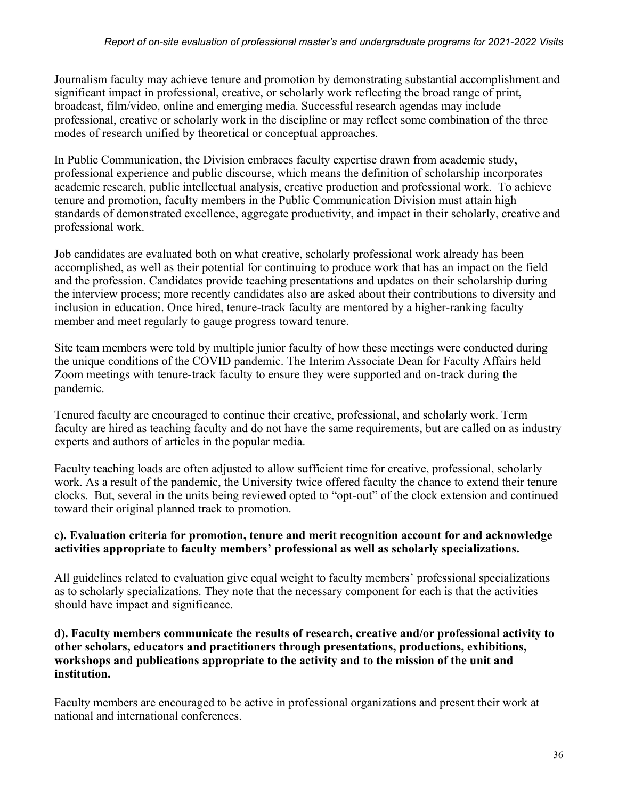Journalism faculty may achieve tenure and promotion by demonstrating substantial accomplishment and significant impact in professional, creative, or scholarly work reflecting the broad range of print, broadcast, film/video, online and emerging media. Successful research agendas may include professional, creative or scholarly work in the discipline or may reflect some combination of the three modes of research unified by theoretical or conceptual approaches.

In Public Communication, the Division embraces faculty expertise drawn from academic study, professional experience and public discourse, which means the definition of scholarship incorporates academic research, public intellectual analysis, creative production and professional work. To achieve tenure and promotion, faculty members in the Public Communication Division must attain high standards of demonstrated excellence, aggregate productivity, and impact in their scholarly, creative and professional work.

Job candidates are evaluated both on what creative, scholarly professional work already has been accomplished, as well as their potential for continuing to produce work that has an impact on the field and the profession. Candidates provide teaching presentations and updates on their scholarship during the interview process; more recently candidates also are asked about their contributions to diversity and inclusion in education. Once hired, tenure-track faculty are mentored by a higher-ranking faculty member and meet regularly to gauge progress toward tenure.

Site team members were told by multiple junior faculty of how these meetings were conducted during the unique conditions of the COVID pandemic. The Interim Associate Dean for Faculty Affairs held Zoom meetings with tenure-track faculty to ensure they were supported and on-track during the pandemic.

Tenured faculty are encouraged to continue their creative, professional, and scholarly work. Term faculty are hired as teaching faculty and do not have the same requirements, but are called on as industry experts and authors of articles in the popular media.

Faculty teaching loads are often adjusted to allow sufficient time for creative, professional, scholarly work. As a result of the pandemic, the University twice offered faculty the chance to extend their tenure clocks. But, several in the units being reviewed opted to "opt-out" of the clock extension and continued toward their original planned track to promotion.

### **c). Evaluation criteria for promotion, tenure and merit recognition account for and acknowledge activities appropriate to faculty members' professional as well as scholarly specializations.**

All guidelines related to evaluation give equal weight to faculty members' professional specializations as to scholarly specializations. They note that the necessary component for each is that the activities should have impact and significance.

#### **d). Faculty members communicate the results of research, creative and/or professional activity to other scholars, educators and practitioners through presentations, productions, exhibitions, workshops and publications appropriate to the activity and to the mission of the unit and institution.**

Faculty members are encouraged to be active in professional organizations and present their work at national and international conferences.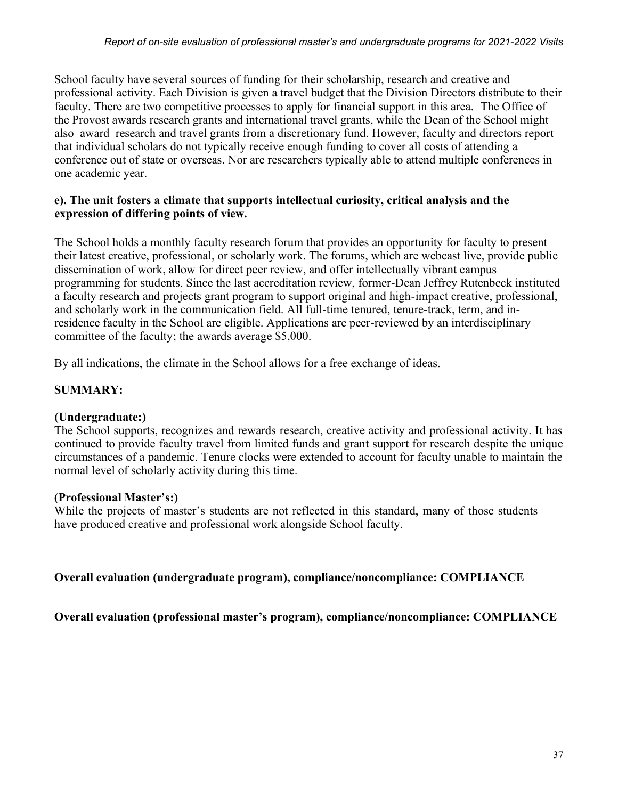School faculty have several sources of funding for their scholarship, research and creative and professional activity. Each Division is given a travel budget that the Division Directors distribute to their faculty. There are two competitive processes to apply for financial support in this area. The Office of the Provost awards research grants and international travel grants, while the Dean of the School might also award research and travel grants from a discretionary fund. However, faculty and directors report that individual scholars do not typically receive enough funding to cover all costs of attending a conference out of state or overseas. Nor are researchers typically able to attend multiple conferences in one academic year.

#### **e). The unit fosters a climate that supports intellectual curiosity, critical analysis and the expression of differing points of view.**

The School holds a monthly faculty research forum that provides an opportunity for faculty to present their latest creative, professional, or scholarly work. The forums, which are webcast live, provide public dissemination of work, allow for direct peer review, and offer intellectually vibrant campus programming for students. Since the last accreditation review, former-Dean Jeffrey Rutenbeck instituted a faculty research and projects grant program to support original and high-impact creative, professional, and scholarly work in the communication field. All full-time tenured, tenure-track, term, and inresidence faculty in the School are eligible. Applications are peer-reviewed by an interdisciplinary committee of the faculty; the awards average \$5,000.

By all indications, the climate in the School allows for a free exchange of ideas.

### **SUMMARY:**

### **(Undergraduate:)**

The School supports, recognizes and rewards research, creative activity and professional activity. It has continued to provide faculty travel from limited funds and grant support for research despite the unique circumstances of a pandemic. Tenure clocks were extended to account for faculty unable to maintain the normal level of scholarly activity during this time.

#### **(Professional Master's:)**

While the projects of master's students are not reflected in this standard, many of those students have produced creative and professional work alongside School faculty.

**Overall evaluation (undergraduate program), compliance/noncompliance: COMPLIANCE**

**Overall evaluation (professional master's program), compliance/noncompliance: COMPLIANCE**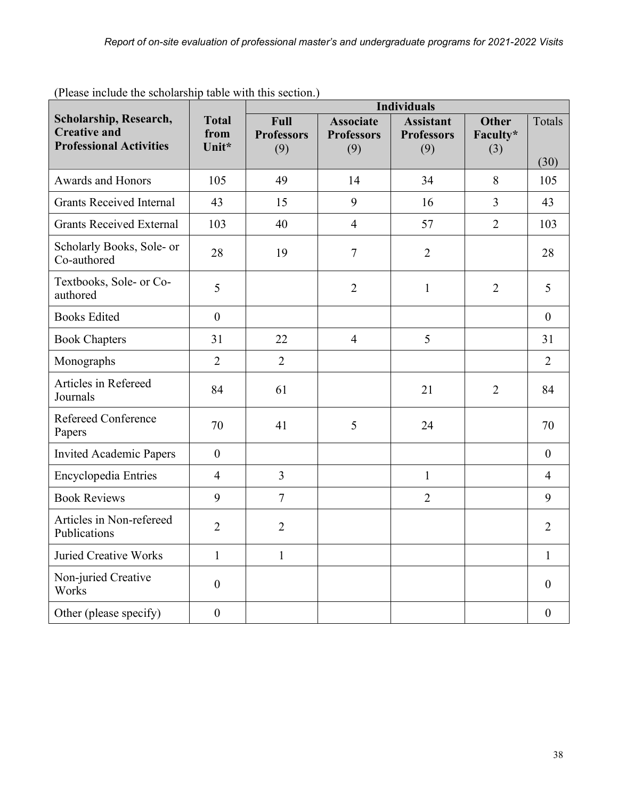| I rease merche are sensialismp thore what and security                          |                               | <b>Individuals</b>                      |                                              |                                              |                                 |                  |
|---------------------------------------------------------------------------------|-------------------------------|-----------------------------------------|----------------------------------------------|----------------------------------------------|---------------------------------|------------------|
| Scholarship, Research,<br><b>Creative and</b><br><b>Professional Activities</b> | <b>Total</b><br>from<br>Unit* | <b>Full</b><br><b>Professors</b><br>(9) | <b>Associate</b><br><b>Professors</b><br>(9) | <b>Assistant</b><br><b>Professors</b><br>(9) | <b>Other</b><br>Faculty*<br>(3) | Totals<br>(30)   |
| Awards and Honors                                                               | 105                           | 49                                      | 14                                           | 34                                           | 8                               | 105              |
| <b>Grants Received Internal</b>                                                 | 43                            | 15                                      | 9                                            | 16                                           | 3                               | 43               |
| <b>Grants Received External</b>                                                 | 103                           | 40                                      | $\overline{4}$                               | 57                                           | $\overline{2}$                  | 103              |
| Scholarly Books, Sole- or<br>Co-authored                                        | 28                            | 19                                      | $\tau$                                       | $\overline{2}$                               |                                 | 28               |
| Textbooks, Sole- or Co-<br>authored                                             | 5                             |                                         | $\overline{2}$                               | $\mathbf{1}$                                 | $\overline{2}$                  | 5                |
| <b>Books Edited</b>                                                             | $\boldsymbol{0}$              |                                         |                                              |                                              |                                 | $\boldsymbol{0}$ |
| <b>Book Chapters</b>                                                            | 31                            | 22                                      | $\overline{4}$                               | 5                                            |                                 | 31               |
| Monographs                                                                      | $\overline{2}$                | $\overline{2}$                          |                                              |                                              |                                 | $\overline{2}$   |
| Articles in Refereed<br>Journals                                                | 84                            | 61                                      |                                              | 21                                           | $\overline{2}$                  | 84               |
| <b>Refereed Conference</b><br>Papers                                            | 70                            | 41                                      | 5                                            | 24                                           |                                 | 70               |
| <b>Invited Academic Papers</b>                                                  | $\boldsymbol{0}$              |                                         |                                              |                                              |                                 | $\boldsymbol{0}$ |
| Encyclopedia Entries                                                            | $\overline{4}$                | $\overline{3}$                          |                                              | $\mathbf{1}$                                 |                                 | $\overline{4}$   |
| <b>Book Reviews</b>                                                             | 9                             | $\overline{7}$                          |                                              | $\overline{2}$                               |                                 | 9                |
| Articles in Non-refereed<br>Publications                                        | $\overline{2}$                | $\overline{2}$                          |                                              |                                              |                                 | $\overline{2}$   |
| <b>Juried Creative Works</b>                                                    | $\mathbf{1}$                  | $\mathbf{1}$                            |                                              |                                              |                                 | $\mathbf{1}$     |
| Non-juried Creative<br>Works                                                    | $\boldsymbol{0}$              |                                         |                                              |                                              |                                 | $\overline{0}$   |
| Other (please specify)                                                          | $\boldsymbol{0}$              |                                         |                                              |                                              |                                 | $\boldsymbol{0}$ |

(Please include the scholarship table with this section.)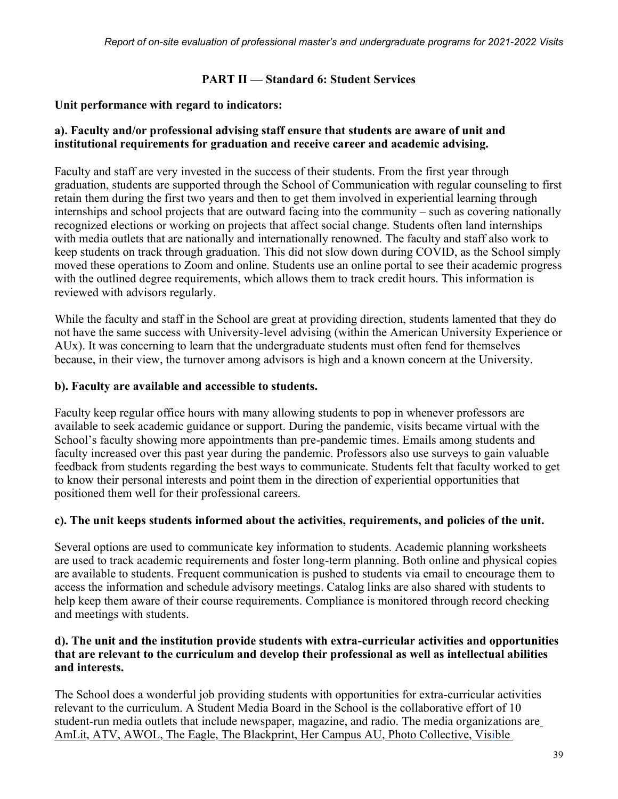### **PART II — Standard 6: Student Services**

### **Unit performance with regard to indicators:**

#### **a). Faculty and/or professional advising staff ensure that students are aware of unit and institutional requirements for graduation and receive career and academic advising.**

Faculty and staff are very invested in the success of their students. From the first year through graduation, students are supported through the School of Communication with regular counseling to first retain them during the first two years and then to get them involved in experiential learning through internships and school projects that are outward facing into the community – such as covering nationally recognized elections or working on projects that affect social change. Students often land internships with media outlets that are nationally and internationally renowned. The faculty and staff also work to keep students on track through graduation. This did not slow down during COVID, as the School simply moved these operations to Zoom and online. Students use an online portal to see their academic progress with the outlined degree requirements, which allows them to track credit hours. This information is reviewed with advisors regularly.

While the faculty and staff in the School are great at providing direction, students lamented that they do not have the same success with University-level advising (within the American University Experience or AUx). It was concerning to learn that the undergraduate students must often fend for themselves because, in their view, the turnover among advisors is high and a known concern at the University.

### **b). Faculty are available and accessible to students.**

Faculty keep regular office hours with many allowing students to pop in whenever professors are available to seek academic guidance or support. During the pandemic, visits became virtual with the School's faculty showing more appointments than pre-pandemic times. Emails among students and faculty increased over this past year during the pandemic. Professors also use surveys to gain valuable feedback from students regarding the best ways to communicate. Students felt that faculty worked to get to know their personal interests and point them in the direction of experiential opportunities that positioned them well for their professional careers.

### **c). The unit keeps students informed about the activities, requirements, and policies of the unit.**

Several options are used to communicate key information to students. Academic planning worksheets are used to track academic requirements and foster long-term planning. Both online and physical copies are available to students. Frequent communication is pushed to students via email to encourage them to access the information and schedule advisory meetings. Catalog links are also shared with students to help keep them aware of their course requirements. Compliance is monitored through record checking and meetings with students.

### **d). The unit and the institution provide students with extra-curricular activities and opportunities that are relevant to the curriculum and develop their professional as well as intellectual abilities and interests.**

The School does a wonderful job providing students with opportunities for extra-curricular activities relevant to the curriculum. A Student Media Board in the School is the collaborative effort of 10 student-run media outlets that include newspaper, magazine, and radio. The media organizations ar[e](http://www.amlitmag.com/) [AmLit,](http://www.amlitmag.com/) [ATV,](https://auatv.com/) [AWOL,](https://awolau.org/) [The Eagle,](https://www.theeagleonline.com/) [The Blackprint,](https://www.theblackprintau.com/) [Her Campus AU,](https://www.hercampus.com/school/american) [Photo Collective,](https://auphotocollective.org/) [Visible](https://visiblemag.com/)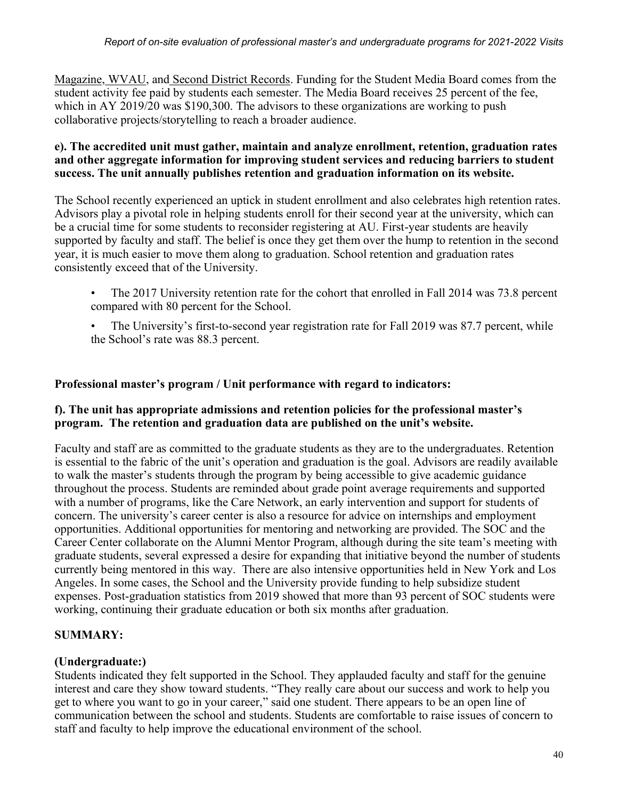[Magazine,](https://visiblemag.com/) [WVAU,](http://wvau.org/) and [Second District Records.](https://seconddistrictrecordsdc.com/) Funding for the Student Media Board comes from the student activity fee paid by students each semester. The Media Board receives 25 percent of the fee, which in AY 2019/20 was \$190,300. The advisors to these organizations are working to push collaborative projects/storytelling to reach a broader audience.

#### **e). The accredited unit must gather, maintain and analyze enrollment, retention, graduation rates and other aggregate information for improving student services and reducing barriers to student success. The unit annually publishes retention and graduation information on its website.**

The School recently experienced an uptick in student enrollment and also celebrates high retention rates. Advisors play a pivotal role in helping students enroll for their second year at the university, which can be a crucial time for some students to reconsider registering at AU. First-year students are heavily supported by faculty and staff. The belief is once they get them over the hump to retention in the second year, it is much easier to move them along to graduation. School retention and graduation rates consistently exceed that of the University.

- The 2017 University retention rate for the cohort that enrolled in Fall 2014 was 73.8 percent compared with 80 percent for the School.
- The University's first-to-second year registration rate for Fall 2019 was 87.7 percent, while the School's rate was 88.3 percent.

### **Professional master's program / Unit performance with regard to indicators:**

### **f). The unit has appropriate admissions and retention policies for the professional master's program. The retention and graduation data are published on the unit's website.**

Faculty and staff are as committed to the graduate students as they are to the undergraduates. Retention is essential to the fabric of the unit's operation and graduation is the goal. Advisors are readily available to walk the master's students through the program by being accessible to give academic guidance throughout the process. Students are reminded about grade point average requirements and supported with a number of programs, like the Care Network, an early intervention and support for students of concern. The university's career center is also a resource for advice on internships and employment opportunities. Additional opportunities for mentoring and networking are provided. The SOC and the Career Center collaborate on the Alumni Mentor Program, although during the site team's meeting with graduate students, several expressed a desire for expanding that initiative beyond the number of students currently being mentored in this way. There are also intensive opportunities held in New York and Los Angeles. In some cases, the School and the University provide funding to help subsidize student expenses. Post-graduation statistics from 2019 showed that more than 93 percent of SOC students were working, continuing their graduate education or both six months after graduation.

### **SUMMARY:**

### **(Undergraduate:)**

Students indicated they felt supported in the School. They applauded faculty and staff for the genuine interest and care they show toward students. "They really care about our success and work to help you get to where you want to go in your career," said one student. There appears to be an open line of communication between the school and students. Students are comfortable to raise issues of concern to staff and faculty to help improve the educational environment of the school.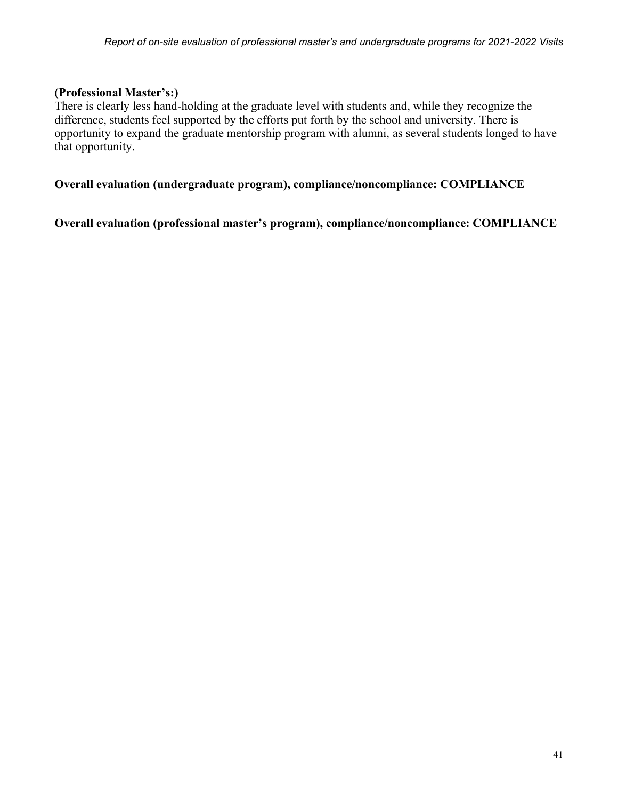#### **(Professional Master's:)**

There is clearly less hand-holding at the graduate level with students and, while they recognize the difference, students feel supported by the efforts put forth by the school and university. There is opportunity to expand the graduate mentorship program with alumni, as several students longed to have that opportunity.

**Overall evaluation (undergraduate program), compliance/noncompliance: COMPLIANCE**

**Overall evaluation (professional master's program), compliance/noncompliance: COMPLIANCE**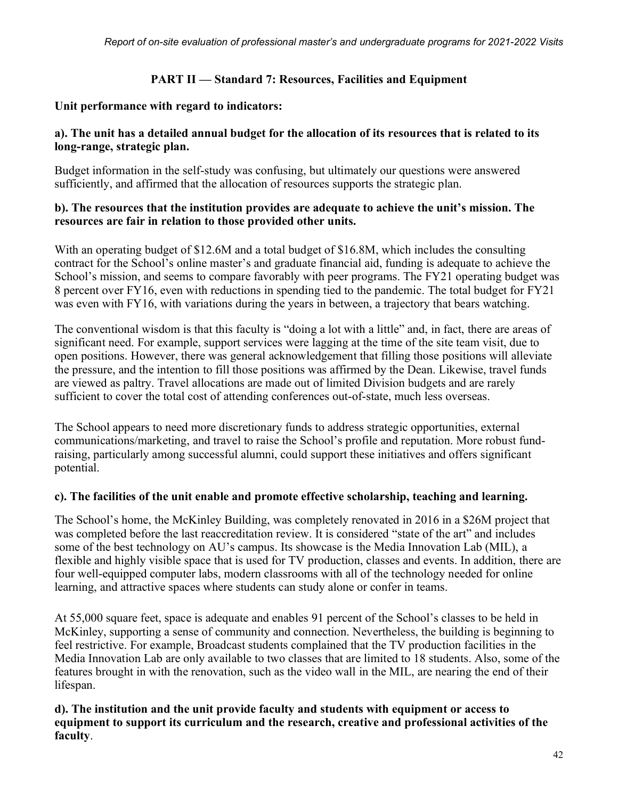#### **PART II — Standard 7: Resources, Facilities and Equipment**

#### **Unit performance with regard to indicators:**

#### **a). The unit has a detailed annual budget for the allocation of its resources that is related to its long-range, strategic plan.**

Budget information in the self-study was confusing, but ultimately our questions were answered sufficiently, and affirmed that the allocation of resources supports the strategic plan.

#### **b). The resources that the institution provides are adequate to achieve the unit's mission. The resources are fair in relation to those provided other units.**

With an operating budget of \$12.6M and a total budget of \$16.8M, which includes the consulting contract for the School's online master's and graduate financial aid, funding is adequate to achieve the School's mission, and seems to compare favorably with peer programs. The FY21 operating budget was 8 percent over FY16, even with reductions in spending tied to the pandemic. The total budget for FY21 was even with FY16, with variations during the years in between, a trajectory that bears watching.

The conventional wisdom is that this faculty is "doing a lot with a little" and, in fact, there are areas of significant need. For example, support services were lagging at the time of the site team visit, due to open positions. However, there was general acknowledgement that filling those positions will alleviate the pressure, and the intention to fill those positions was affirmed by the Dean. Likewise, travel funds are viewed as paltry. Travel allocations are made out of limited Division budgets and are rarely sufficient to cover the total cost of attending conferences out-of-state, much less overseas.

The School appears to need more discretionary funds to address strategic opportunities, external communications/marketing, and travel to raise the School's profile and reputation. More robust fundraising, particularly among successful alumni, could support these initiatives and offers significant potential.

#### **c). The facilities of the unit enable and promote effective scholarship, teaching and learning.**

The School's home, the McKinley Building, was completely renovated in 2016 in a \$26M project that was completed before the last reaccreditation review. It is considered "state of the art" and includes some of the best technology on AU's campus. Its showcase is the Media Innovation Lab (MIL), a flexible and highly visible space that is used for TV production, classes and events. In addition, there are four well-equipped computer labs, modern classrooms with all of the technology needed for online learning, and attractive spaces where students can study alone or confer in teams.

At 55,000 square feet, space is adequate and enables 91 percent of the School's classes to be held in McKinley, supporting a sense of community and connection. Nevertheless, the building is beginning to feel restrictive. For example, Broadcast students complained that the TV production facilities in the Media Innovation Lab are only available to two classes that are limited to 18 students. Also, some of the features brought in with the renovation, such as the video wall in the MIL, are nearing the end of their lifespan.

### **d). The institution and the unit provide faculty and students with equipment or access to equipment to support its curriculum and the research, creative and professional activities of the faculty**.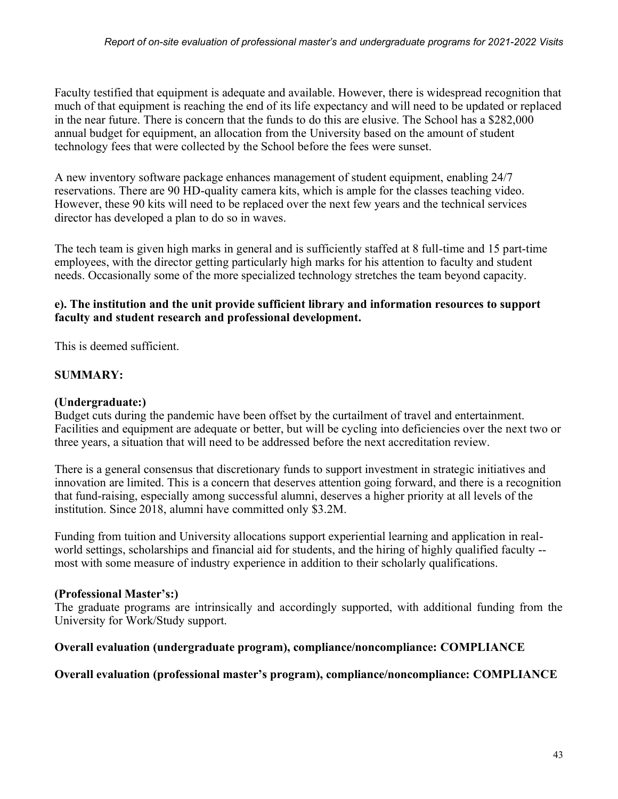Faculty testified that equipment is adequate and available. However, there is widespread recognition that much of that equipment is reaching the end of its life expectancy and will need to be updated or replaced in the near future. There is concern that the funds to do this are elusive. The School has a \$282,000 annual budget for equipment, an allocation from the University based on the amount of student technology fees that were collected by the School before the fees were sunset.

A new inventory software package enhances management of student equipment, enabling 24/7 reservations. There are 90 HD-quality camera kits, which is ample for the classes teaching video. However, these 90 kits will need to be replaced over the next few years and the technical services director has developed a plan to do so in waves.

The tech team is given high marks in general and is sufficiently staffed at 8 full-time and 15 part-time employees, with the director getting particularly high marks for his attention to faculty and student needs. Occasionally some of the more specialized technology stretches the team beyond capacity.

### **e). The institution and the unit provide sufficient library and information resources to support faculty and student research and professional development.**

This is deemed sufficient.

### **SUMMARY:**

### **(Undergraduate:)**

Budget cuts during the pandemic have been offset by the curtailment of travel and entertainment. Facilities and equipment are adequate or better, but will be cycling into deficiencies over the next two or three years, a situation that will need to be addressed before the next accreditation review.

There is a general consensus that discretionary funds to support investment in strategic initiatives and innovation are limited. This is a concern that deserves attention going forward, and there is a recognition that fund-raising, especially among successful alumni, deserves a higher priority at all levels of the institution. Since 2018, alumni have committed only \$3.2M.

Funding from tuition and University allocations support experiential learning and application in realworld settings, scholarships and financial aid for students, and the hiring of highly qualified faculty - most with some measure of industry experience in addition to their scholarly qualifications.

### **(Professional Master's:)**

The graduate programs are intrinsically and accordingly supported, with additional funding from the University for Work/Study support.

### **Overall evaluation (undergraduate program), compliance/noncompliance: COMPLIANCE**

### **Overall evaluation (professional master's program), compliance/noncompliance: COMPLIANCE**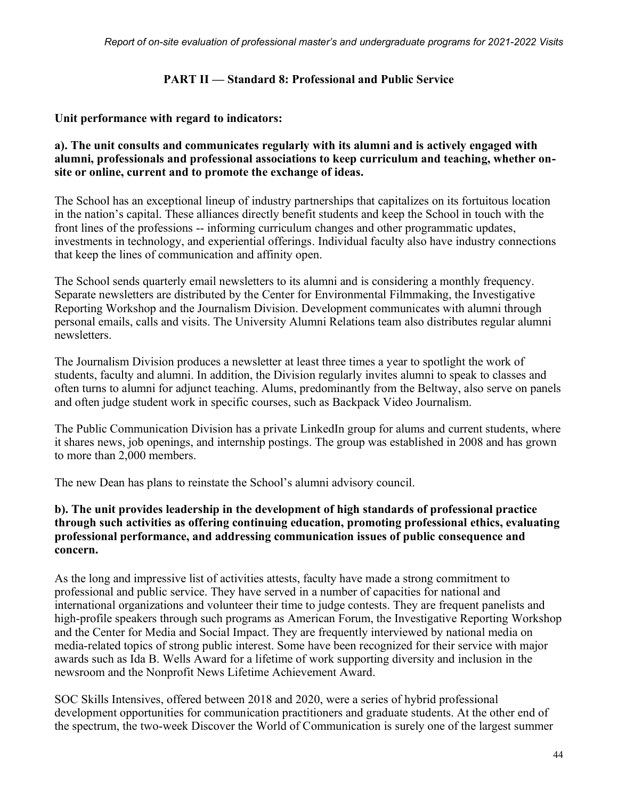#### **PART II — Standard 8: Professional and Public Service**

#### **Unit performance with regard to indicators:**

#### **a). The unit consults and communicates regularly with its alumni and is actively engaged with alumni, professionals and professional associations to keep curriculum and teaching, whether onsite or online, current and to promote the exchange of ideas.**

The School has an exceptional lineup of industry partnerships that capitalizes on its fortuitous location in the nation's capital. These alliances directly benefit students and keep the School in touch with the front lines of the professions -- informing curriculum changes and other programmatic updates, investments in technology, and experiential offerings. Individual faculty also have industry connections that keep the lines of communication and affinity open.

The School sends quarterly email newsletters to its alumni and is considering a monthly frequency. Separate newsletters are distributed by the Center for Environmental Filmmaking, the Investigative Reporting Workshop and the Journalism Division. Development communicates with alumni through personal emails, calls and visits. The University Alumni Relations team also distributes regular alumni newsletters.

The Journalism Division produces a newsletter at least three times a year to spotlight the work of students, faculty and alumni. In addition, the Division regularly invites alumni to speak to classes and often turns to alumni for adjunct teaching. Alums, predominantly from the Beltway, also serve on panels and often judge student work in specific courses, such as Backpack Video Journalism.

The Public Communication Division has a private LinkedIn group for alums and current students, where it shares news, job openings, and internship postings. The group was established in 2008 and has grown to more than 2,000 members.

The new Dean has plans to reinstate the School's alumni advisory council.

#### **b). The unit provides leadership in the development of high standards of professional practice through such activities as offering continuing education, promoting professional ethics, evaluating professional performance, and addressing communication issues of public consequence and concern.**

As the long and impressive list of activities attests, faculty have made a strong commitment to professional and public service. They have served in a number of capacities for national and international organizations and volunteer their time to judge contests. They are frequent panelists and high-profile speakers through such programs as American Forum, the Investigative Reporting Workshop and the Center for Media and Social Impact. They are frequently interviewed by national media on media-related topics of strong public interest. Some have been recognized for their service with major awards such as Ida B. Wells Award for a lifetime of work supporting diversity and inclusion in the newsroom and the Nonprofit News Lifetime Achievement Award.

SOC Skills Intensives, offered between 2018 and 2020, were a series of hybrid professional development opportunities for communication practitioners and graduate students. At the other end of the spectrum, the two-week Discover the World of Communication is surely one of the largest summer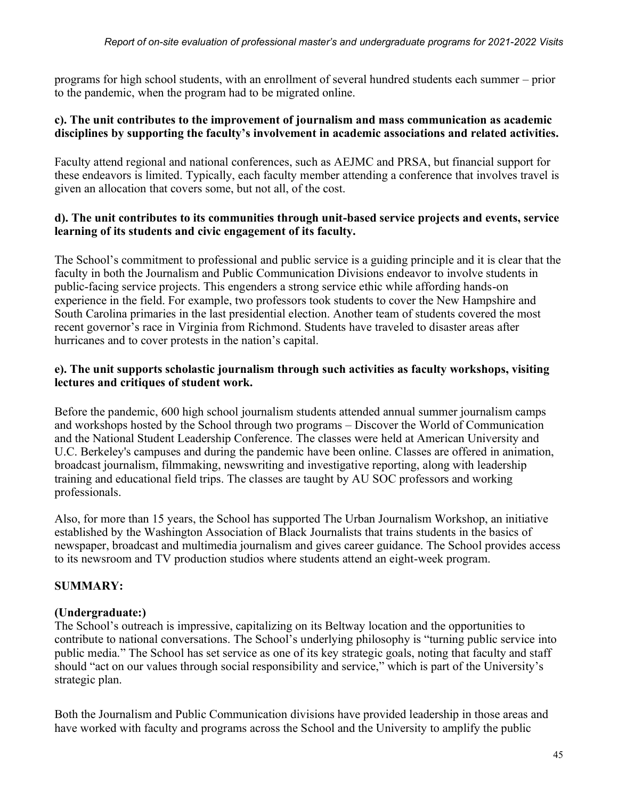programs for high school students, with an enrollment of several hundred students each summer – prior to the pandemic, when the program had to be migrated online.

#### **c). The unit contributes to the improvement of journalism and mass communication as academic disciplines by supporting the faculty's involvement in academic associations and related activities.**

Faculty attend regional and national conferences, such as AEJMC and PRSA, but financial support for these endeavors is limited. Typically, each faculty member attending a conference that involves travel is given an allocation that covers some, but not all, of the cost.

#### **d). The unit contributes to its communities through unit-based service projects and events, service learning of its students and civic engagement of its faculty.**

The School's commitment to professional and public service is a guiding principle and it is clear that the faculty in both the Journalism and Public Communication Divisions endeavor to involve students in public-facing service projects. This engenders a strong service ethic while affording hands-on experience in the field. For example, two professors took students to cover the New Hampshire and South Carolina primaries in the last presidential election. Another team of students covered the most recent governor's race in Virginia from Richmond. Students have traveled to disaster areas after hurricanes and to cover protests in the nation's capital.

### **e). The unit supports scholastic journalism through such activities as faculty workshops, visiting lectures and critiques of student work.**

Before the pandemic, 600 high school journalism students attended annual summer journalism camps and workshops hosted by the School through two programs – Discover the World of Communication and the National Student Leadership Conference. The classes were held at American University and U.C. Berkeley's campuses and during the pandemic have been online. Classes are offered in animation, broadcast journalism, filmmaking, newswriting and investigative reporting, along with leadership training and educational field trips. The classes are taught by AU SOC professors and working professionals.

Also, for more than 15 years, the School has supported The Urban Journalism Workshop, an initiative established by the Washington Association of Black Journalists that trains students in the basics of newspaper, broadcast and multimedia journalism and gives career guidance. The School provides access to its newsroom and TV production studios where students attend an eight-week program.

### **SUMMARY:**

### **(Undergraduate:)**

The School's outreach is impressive, capitalizing on its Beltway location and the opportunities to contribute to national conversations. The School's underlying philosophy is "turning public service into public media." The School has set service as one of its key strategic goals, noting that faculty and staff should "act on our values through social responsibility and service," which is part of the University's strategic plan.

Both the Journalism and Public Communication divisions have provided leadership in those areas and have worked with faculty and programs across the School and the University to amplify the public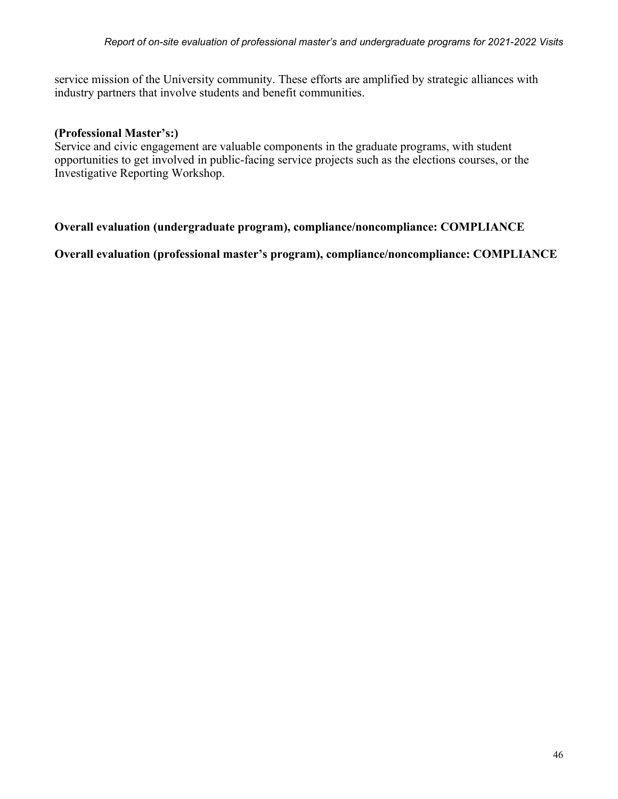service mission of the University community. These efforts are amplified by strategic alliances with industry partners that involve students and benefit communities.

#### **(Professional Master's:)**

Service and civic engagement are valuable components in the graduate programs, with student opportunities to get involved in public-facing service projects such as the elections courses, or the Investigative Reporting Workshop.

#### **Overall evaluation (undergraduate program), compliance/noncompliance: COMPLIANCE**

**Overall evaluation (professional master's program), compliance/noncompliance: COMPLIANCE**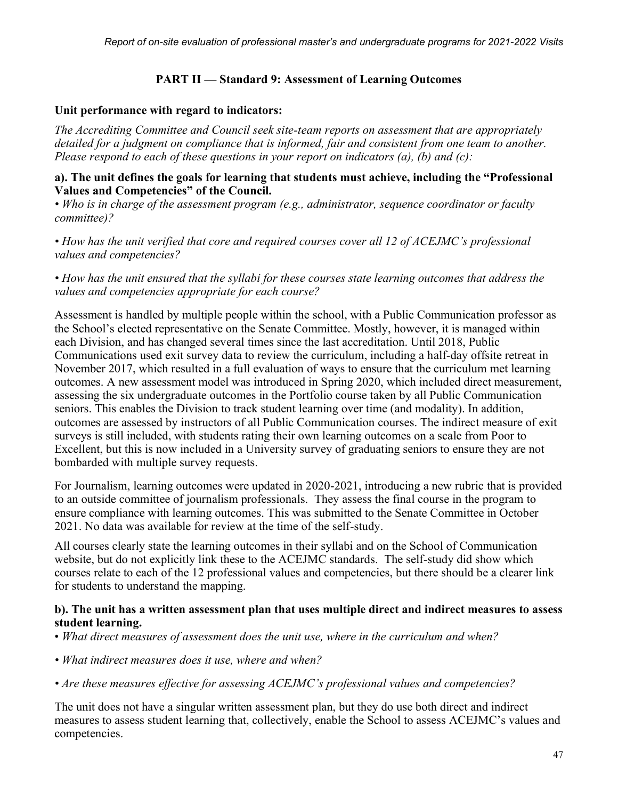### **PART II — Standard 9: Assessment of Learning Outcomes**

#### **Unit performance with regard to indicators:**

*The Accrediting Committee and Council seek site-team reports on assessment that are appropriately detailed for a judgment on compliance that is informed, fair and consistent from one team to another. Please respond to each of these questions in your report on indicators (a), (b) and (c):*

#### **a). The unit defines the goals for learning that students must achieve, including the "Professional Values and Competencies" of the Council.**

*• Who is in charge of the assessment program (e.g., administrator, sequence coordinator or faculty committee)?*

*• How has the unit verified that core and required courses cover all 12 of ACEJMC's professional values and competencies?*

*• How has the unit ensured that the syllabi for these courses state learning outcomes that address the values and competencies appropriate for each course?*

Assessment is handled by multiple people within the school, with a Public Communication professor as the School's elected representative on the Senate Committee. Mostly, however, it is managed within each Division, and has changed several times since the last accreditation. Until 2018, Public Communications used exit survey data to review the curriculum, including a half-day offsite retreat in November 2017, which resulted in a full evaluation of ways to ensure that the curriculum met learning outcomes. A new assessment model was introduced in Spring 2020, which included direct measurement, assessing the six undergraduate outcomes in the Portfolio course taken by all Public Communication seniors. This enables the Division to track student learning over time (and modality). In addition, outcomes are assessed by instructors of all Public Communication courses. The indirect measure of exit surveys is still included, with students rating their own learning outcomes on a scale from Poor to Excellent, but this is now included in a University survey of graduating seniors to ensure they are not bombarded with multiple survey requests.

For Journalism, learning outcomes were updated in 2020-2021, introducing a new rubric that is provided to an outside committee of journalism professionals. They assess the final course in the program to ensure compliance with learning outcomes. This was submitted to the Senate Committee in October 2021. No data was available for review at the time of the self-study.

All courses clearly state the learning outcomes in their syllabi and on the School of Communication website, but do not explicitly link these to the ACEJMC standards. The self-study did show which courses relate to each of the 12 professional values and competencies, but there should be a clearer link for students to understand the mapping.

#### **b). The unit has a written assessment plan that uses multiple direct and indirect measures to assess student learning.**

- *What direct measures of assessment does the unit use, where in the curriculum and when?*
- *What indirect measures does it use, where and when?*
- *Are these measures effective for assessing ACEJMC's professional values and competencies?*

The unit does not have a singular written assessment plan, but they do use both direct and indirect measures to assess student learning that, collectively, enable the School to assess ACEJMC's values and competencies.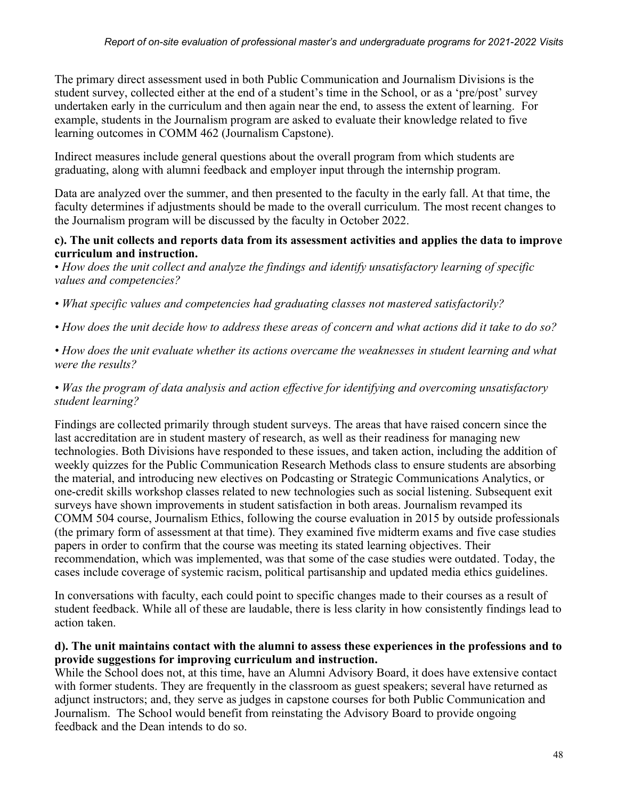The primary direct assessment used in both Public Communication and Journalism Divisions is the student survey, collected either at the end of a student's time in the School, or as a 'pre/post' survey undertaken early in the curriculum and then again near the end, to assess the extent of learning. For example, students in the Journalism program are asked to evaluate their knowledge related to five learning outcomes in COMM 462 (Journalism Capstone).

Indirect measures include general questions about the overall program from which students are graduating, along with alumni feedback and employer input through the internship program.

Data are analyzed over the summer, and then presented to the faculty in the early fall. At that time, the faculty determines if adjustments should be made to the overall curriculum. The most recent changes to the Journalism program will be discussed by the faculty in October 2022.

#### **c). The unit collects and reports data from its assessment activities and applies the data to improve curriculum and instruction.**

• *How does the unit collect and analyze the findings and identify unsatisfactory learning of specific values and competencies?*

- What specific values and competencies had graduating classes not mastered satisfactorily?
- *How does the unit decide how to address these areas of concern and what actions did it take to do so?*
- *How does the unit evaluate whether its actions overcame the weaknesses in student learning and what were the results?*

### *• Was the program of data analysis and action effective for identifying and overcoming unsatisfactory student learning?*

Findings are collected primarily through student surveys. The areas that have raised concern since the last accreditation are in student mastery of research, as well as their readiness for managing new technologies. Both Divisions have responded to these issues, and taken action, including the addition of weekly quizzes for the Public Communication Research Methods class to ensure students are absorbing the material, and introducing new electives on Podcasting or Strategic Communications Analytics, or one-credit skills workshop classes related to new technologies such as social listening. Subsequent exit surveys have shown improvements in student satisfaction in both areas. Journalism revamped its COMM 504 course, Journalism Ethics, following the course evaluation in 2015 by outside professionals (the primary form of assessment at that time). They examined five midterm exams and five case studies papers in order to confirm that the course was meeting its stated learning objectives. Their recommendation, which was implemented, was that some of the case studies were outdated. Today, the cases include coverage of systemic racism, political partisanship and updated media ethics guidelines.

In conversations with faculty, each could point to specific changes made to their courses as a result of student feedback. While all of these are laudable, there is less clarity in how consistently findings lead to action taken.

#### **d). The unit maintains contact with the alumni to assess these experiences in the professions and to provide suggestions for improving curriculum and instruction.**

While the School does not, at this time, have an Alumni Advisory Board, it does have extensive contact with former students. They are frequently in the classroom as guest speakers; several have returned as adjunct instructors; and, they serve as judges in capstone courses for both Public Communication and Journalism. The School would benefit from reinstating the Advisory Board to provide ongoing feedback and the Dean intends to do so.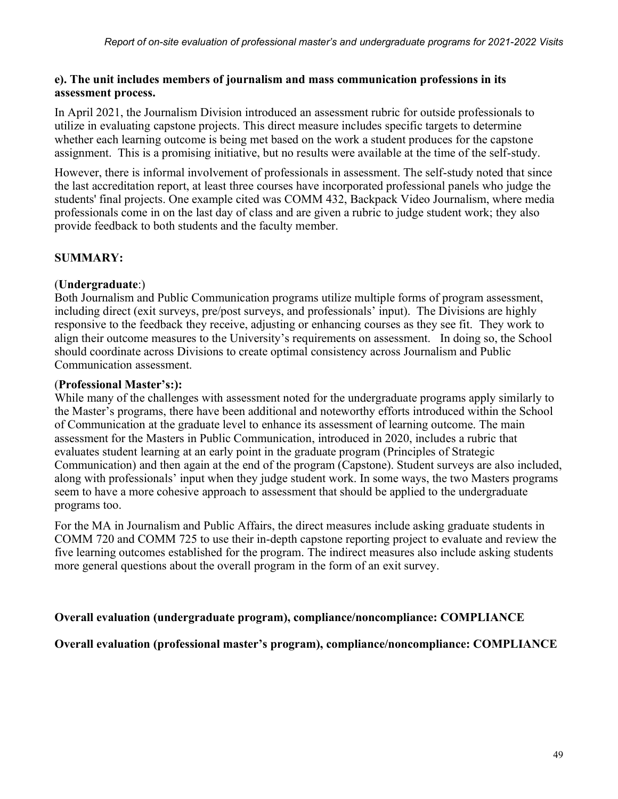#### **e). The unit includes members of journalism and mass communication professions in its assessment process.**

In April 2021, the Journalism Division introduced an assessment rubric for outside professionals to utilize in evaluating capstone projects. This direct measure includes specific targets to determine whether each learning outcome is being met based on the work a student produces for the capstone assignment. This is a promising initiative, but no results were available at the time of the self-study.

However, there is informal involvement of professionals in assessment. The self-study noted that since the last accreditation report, at least three courses have incorporated professional panels who judge the students' final projects. One example cited was COMM 432, Backpack Video Journalism, where media professionals come in on the last day of class and are given a rubric to judge student work; they also provide feedback to both students and the faculty member.

### **SUMMARY:**

### (**Undergraduate**:)

Both Journalism and Public Communication programs utilize multiple forms of program assessment, including direct (exit surveys, pre/post surveys, and professionals' input). The Divisions are highly responsive to the feedback they receive, adjusting or enhancing courses as they see fit. They work to align their outcome measures to the University's requirements on assessment. In doing so, the School should coordinate across Divisions to create optimal consistency across Journalism and Public Communication assessment.

#### (**Professional Master's:):**

While many of the challenges with assessment noted for the undergraduate programs apply similarly to the Master's programs, there have been additional and noteworthy efforts introduced within the School of Communication at the graduate level to enhance its assessment of learning outcome. The main assessment for the Masters in Public Communication, introduced in 2020, includes a rubric that evaluates student learning at an early point in the graduate program (Principles of Strategic Communication) and then again at the end of the program (Capstone). Student surveys are also included, along with professionals' input when they judge student work. In some ways, the two Masters programs seem to have a more cohesive approach to assessment that should be applied to the undergraduate programs too.

For the MA in Journalism and Public Affairs, the direct measures include asking graduate students in COMM 720 and COMM 725 to use their in-depth capstone reporting project to evaluate and review the five learning outcomes established for the program. The indirect measures also include asking students more general questions about the overall program in the form of an exit survey.

### **Overall evaluation (undergraduate program), compliance/noncompliance: COMPLIANCE**

**Overall evaluation (professional master's program), compliance/noncompliance: COMPLIANCE**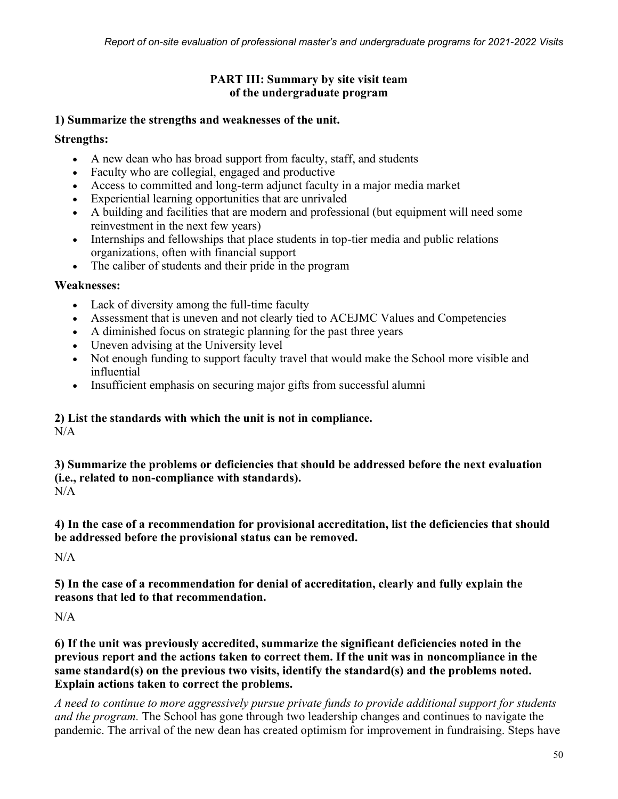### **PART III: Summary by site visit team of the undergraduate program**

### **1) Summarize the strengths and weaknesses of the unit.**

### **Strengths:**

- A new dean who has broad support from faculty, staff, and students
- Faculty who are collegial, engaged and productive
- Access to committed and long-term adjunct faculty in a major media market
- Experiential learning opportunities that are unrivaled
- A building and facilities that are modern and professional (but equipment will need some reinvestment in the next few years)
- Internships and fellowships that place students in top-tier media and public relations organizations, often with financial support
- The caliber of students and their pride in the program

### **Weaknesses:**

- Lack of diversity among the full-time faculty
- Assessment that is uneven and not clearly tied to ACEJMC Values and Competencies
- A diminished focus on strategic planning for the past three years
- Uneven advising at the University level
- Not enough funding to support faculty travel that would make the School more visible and influential
- Insufficient emphasis on securing major gifts from successful alumni

# **2) List the standards with which the unit is not in compliance.**

 $N/A$ 

**3) Summarize the problems or deficiencies that should be addressed before the next evaluation (i.e., related to non-compliance with standards).**   $N/A$ 

**4) In the case of a recommendation for provisional accreditation, list the deficiencies that should be addressed before the provisional status can be removed.**

 $N/A$ 

**5) In the case of a recommendation for denial of accreditation, clearly and fully explain the reasons that led to that recommendation.**

 $N/A$ 

**6) If the unit was previously accredited, summarize the significant deficiencies noted in the previous report and the actions taken to correct them. If the unit was in noncompliance in the same standard(s) on the previous two visits, identify the standard(s) and the problems noted. Explain actions taken to correct the problems.**

*A need to continue to more aggressively pursue private funds to provide additional support for students and the program.* The School has gone through two leadership changes and continues to navigate the pandemic. The arrival of the new dean has created optimism for improvement in fundraising. Steps have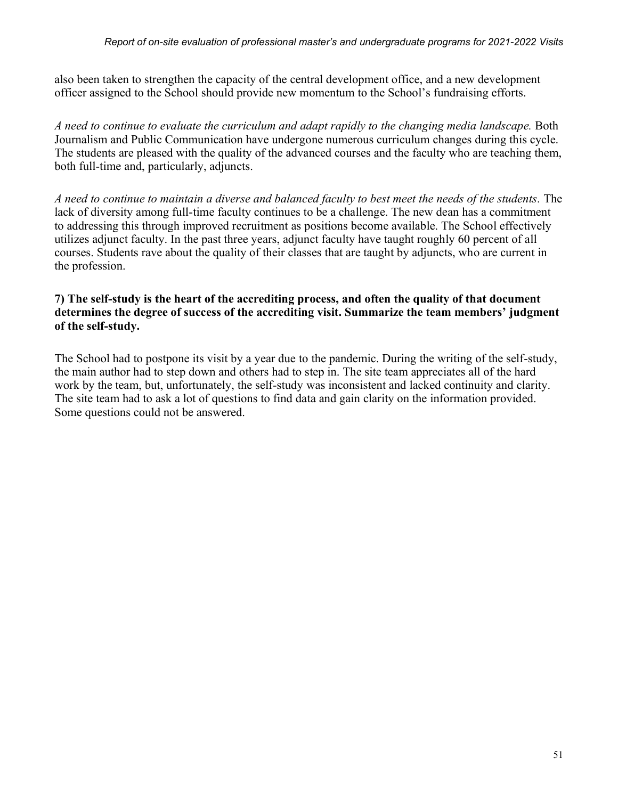also been taken to strengthen the capacity of the central development office, and a new development officer assigned to the School should provide new momentum to the School's fundraising efforts.

*A need to continue to evaluate the curriculum and adapt rapidly to the changing media landscape.* Both Journalism and Public Communication have undergone numerous curriculum changes during this cycle. The students are pleased with the quality of the advanced courses and the faculty who are teaching them, both full-time and, particularly, adjuncts.

*A need to continue to maintain a diverse and balanced faculty to best meet the needs of the students.* The lack of diversity among full-time faculty continues to be a challenge. The new dean has a commitment to addressing this through improved recruitment as positions become available. The School effectively utilizes adjunct faculty. In the past three years, adjunct faculty have taught roughly 60 percent of all courses. Students rave about the quality of their classes that are taught by adjuncts, who are current in the profession.

#### **7) The self-study is the heart of the accrediting process, and often the quality of that document determines the degree of success of the accrediting visit. Summarize the team members' judgment of the self-study.**

The School had to postpone its visit by a year due to the pandemic. During the writing of the self-study, the main author had to step down and others had to step in. The site team appreciates all of the hard work by the team, but, unfortunately, the self-study was inconsistent and lacked continuity and clarity. The site team had to ask a lot of questions to find data and gain clarity on the information provided. Some questions could not be answered.